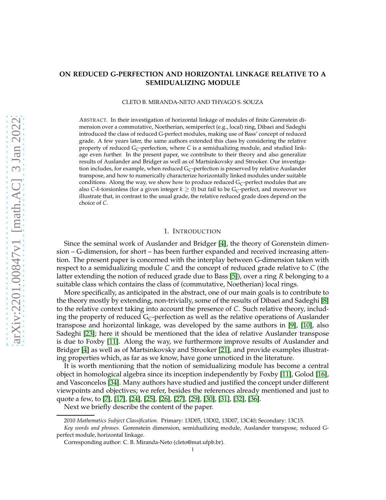# **ON REDUCED G-PERFECTION AND HORIZONTAL LINKAGE RELATIVE TO A SEMIDUALIZING MODULE**

CLETO B. MIRANDA-NETO AND THYAGO S. SOUZA

ABSTRACT. In their investigation of horizontal linkage of modules of finite Gorenstein dimension over a commutative, Noetherian, semiperfect (e.g., local) ring, Dibaei and Sadeghi introduced the class of reduced G-perfect modules, making use of Bass' concept of reduced grade. A few years later, the same authors extended this class by considering the relative property of reduced G*C*-perfection, where *C* is a semidualizing module, and studied linkage even further. In the present paper, we contribute to their theory and also generalize results of Auslander and Bridger as well as of Martsinkovsky and Strooker. Our investigation includes, for example, when reduced G*C*-perfection is preserved by relative Auslander transpose, and how to numerically characterize horizontally linked modules under suitable conditions. Along the way, we show how to produce reduced G*C*-perfect modules that are also *C*-*k*-torsionless (for a given integer  $k \geq 0$ ) but fail to be  $G_C$ -perfect, and moreover we illustrate that, in contrast to the usual grade, the relative reduced grade does depend on the choice of *C*.

#### 1. INTRODUCTION

Since the seminal work of Auslander and Bridger [\[4\]](#page-21-0), the theory of Gorenstein dimension – G-dimension, for short – has been further expanded and received increasing attention. The present paper is concerned with the interplay between G-dimension taken with respect to a semidualizing module *C* and the concept of reduced grade relative to *C* (the latter extending the notion of reduced grade due to Bass [\[5\]](#page-21-1)), over a ring *R* belonging to a suitable class which contains the class of (commutative, Noetherian) local rings.

More specifically, as anticipated in the abstract, one of our main goals is to contribute to the theory mostly by extending, non-trivially, some of the results of Dibaei and Sadeghi [\[8\]](#page-21-2) to the relative context taking into account the presence of *C*. Such relative theory, including the property of reduced  $G<sub>C</sub>$ -perfection as well as the relative operations of Auslander transpose and horizontal linkage, was developed by the same authors in [\[9\]](#page-21-3), [\[10\]](#page-21-4), also Sadeghi [\[23\]](#page-21-5); here it should be mentioned that the idea of relative Auslander transpose is due to Foxby [\[11\]](#page-21-6). Along the way, we furthermore improve results of Auslander and Bridger [\[4\]](#page-21-0) as well as of Martsinkovsky and Strooker [\[21\]](#page-21-7), and provide examples illustrating properties which, as far as we know, have gone unnoticed in the literature.

It is worth mentioning that the notion of semidualizing module has become a central object in homological algebra since its inception independently by Foxby [\[11\]](#page-21-6), Golod [\[16\]](#page-21-8), and Vasconcelos [\[34\]](#page-21-9). Many authors have studied and justified the concept under different viewpoints and objectives; we refer, besides the references already mentioned and just to quote a few, to [\[7\]](#page-21-10), [\[17\]](#page-21-11), [\[24\]](#page-21-12), [\[25\]](#page-21-13), [\[26\]](#page-21-14), [\[27\]](#page-21-15), [\[29\]](#page-21-16), [\[30\]](#page-21-17), [\[31\]](#page-21-18), [\[32\]](#page-21-19), [\[36\]](#page-22-0).

Next we briefly describe the content of the paper.

<sup>2010</sup> *Mathematics Subject Classification.* Primary: 13D05, 13D02, 13D07, 13C40; Secondary: 13C15.

*Key words and phrases.* Gorenstein dimension, semidualizing module, Auslander transpose, reduced Gperfect module, horizontal linkage.

Corresponding author: C. B. Miranda-Neto (cleto@mat.ufpb.br).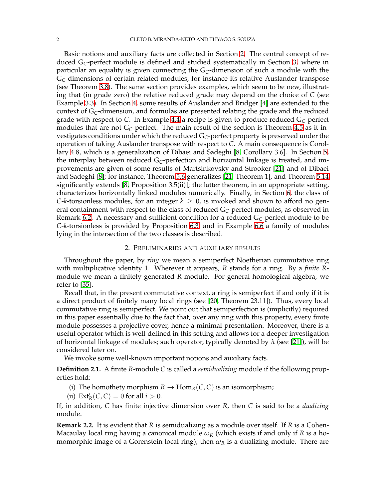Basic notions and auxiliary facts are collected in Section [2.](#page-1-0) The central concept of reduced G*C*-perfect module is defined and studied systematically in Section [3,](#page-5-0) where in particular an equality is given connecting the G*C*-dimension of such a module with the G*C*-dimensions of certain related modules, for instance its relative Auslander transpose (see Theorem [3.8\)](#page-8-0). The same section provides examples, which seem to be new, illustrating that (in grade zero) the relative reduced grade may depend on the choice of *C* (see Example [3.3\)](#page-6-0). In Section [4,](#page-11-0) some results of Auslander and Bridger [\[4\]](#page-21-0) are extended to the context of G*C*-dimension, and formulas are presented relating the grade and the reduced grade with respect to *C*. In Example [4.4](#page-12-0) a recipe is given to produce reduced G*C*-perfect modules that are not G*C*-perfect. The main result of the section is Theorem [4.5](#page-14-0) as it investigates conditions under which the reduced G*C*-perfect property is preserved under the operation of taking Auslander transpose with respect to *C*. A main consequence is Corollary [4.8,](#page-15-0) which is a generalization of Dibaei and Sadeghi [\[8,](#page-21-2) Corollary 3.6]. In Section [5,](#page-16-0) the interplay between reduced G*C*-perfection and horizontal linkage is treated, and improvements are given of some results of Martsinkovsky and Strooker [\[21\]](#page-21-7) and of Dibaei and Sadeghi [\[8\]](#page-21-2); for instance, Theorem [5.6](#page-16-1) generalizes [\[21,](#page-21-7) Theorem 1], and Theorem [5.14](#page-18-0) significantly extends [\[8,](#page-21-2) Proposition 3.5(ii)]; the latter theorem, in an appropriate setting, characterizes horizontally linked modules numerically. Finally, in Section [6,](#page-19-0) the class of *C*-*k*-torsionless modules, for an integer  $k \geq 0$ , is invoked and shown to afford no general containment with respect to the class of reduced G*C*-perfect modules, as observed in Remark [6.2.](#page-19-1) A necessary and sufficient condition for a reduced G*C*-perfect module to be *C*-*k*-torsionless is provided by Proposition [6.3,](#page-19-2) and in Example [6.6](#page-20-0) a family of modules lying in the intersection of the two classes is described.

### 2. PRELIMINARIES AND AUXILIARY RESULTS

<span id="page-1-0"></span>Throughout the paper, by *ring* we mean a semiperfect Noetherian commutative ring with multiplicative identity 1. Wherever it appears, *R* stands for a ring. By a *finite R*module we mean a finitely generated *R*-module. For general homological algebra, we refer to [\[35\]](#page-22-1).

Recall that, in the present commutative context, a ring is semiperfect if and only if it is a direct product of finitely many local rings (see [\[20,](#page-21-20) Theorem 23.11]). Thus, every local commutative ring is semiperfect. We point out that semiperfection is (implicitly) required in this paper essentially due to the fact that, over any ring with this property, every finite module possesses a projective cover, hence a minimal presentation. Moreover, there is a useful operator which is well-defined in this setting and allows for a deeper investigation of horizontal linkage of modules; such operator, typically denoted by  $\lambda$  (see [\[21\]](#page-21-7)), will be considered later on.

We invoke some well-known important notions and auxiliary facts.

**Definition 2.1.** A finite *R*-module *C* is called a *semidualizing* module if the following properties hold:

- (i) The homothety morphism  $R \to \text{Hom}_R(C, C)$  is an isomorphism;
- (ii)  $\text{Ext}^{i}_{R}(C, C) = 0$  for all  $i > 0$ .

If, in addition, *C* has finite injective dimension over *R*, then *C* is said to be a *dualizing* module.

**Remark 2.2.** It is evident that *R* is semidualizing as a module over itself. If *R* is a Cohen-Macaulay local ring having a canonical module *ω<sup>R</sup>* (which exists if and only if *R* is a homomorphic image of a Gorenstein local ring), then  $\omega_R$  is a dualizing module. There are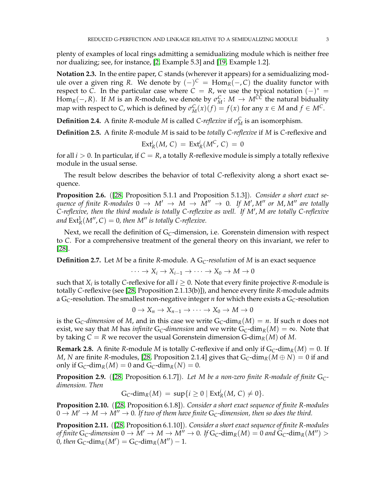plenty of examples of local rings admitting a semidualizing module which is neither free nor dualizing; see, for instance, [\[2,](#page-21-21) Example 5.3] and [\[19,](#page-21-22) Example 1.2].

**Notation 2.3.** In the entire paper, *C* stands (wherever it appears) for a semidualizing module over a given ring *R*. We denote by  $(-)^{C}$  =  $Hom<sub>R</sub>(−, C)$  the duality functor with respect to *C*. In the particular case where  $C = R$ , we use the typical notation  $(-)^* =$ Hom<sub>*R*</sub>(-, *R*). If *M* is an *R*-module, we denote by  $\sigma_M^C$ :  $M \to M^{CC}$  the natural biduality map with respect to *C*, which is defined by  $\sigma_M^C(x)(f) = f(x)$  for any  $x \in M$  and  $f \in M^C$ .

**Definition 2.4.** A finite *R*-module *M* is called *C-reflexive* if  $\sigma_M^C$  is an isomorphism.

**Definition 2.5.** A finite *R*-module *M* is said to be *totally C-reflexive* if *M* is *C*-reflexive and

$$
Ext_R^i(M, C) = Ext_R^i(M^C, C) = 0
$$

for all  $i > 0$ . In particular, if  $C = R$ , a totally *R*-reflexive module is simply a totally reflexive module in the usual sense.

The result below describes the behavior of total *C*-reflexivity along a short exact sequence.

<span id="page-2-2"></span>**Proposition 2.6.** ([\[28,](#page-21-23) Proposition 5.1.1 and Proposition 5.1.3])*. Consider a short exact sequence of finite R-modules*  $0 \rightarrow M' \rightarrow M \rightarrow \overline{M}'' \rightarrow 0$ . If  $\overline{M}'$ ,  $M''$  or  $M$ ,  $M''$  are totally *C-reflexive, then the third module is totally C-reflexive as well. If M*′ , *M are totally C-reflexive* and  $\text{Ext}^1_R(M'',C) = 0$ , then M'' is totally C-reflexive.

Next, we recall the definition of G<sub>C</sub>-dimension, i.e. Gorenstein dimension with respect to *C*. For a comprehensive treatment of the general theory on this invariant, we refer to [\[28\]](#page-21-23).

**Definition 2.7.** Let *M* be a finite *R*-module. A G*C-resolution* of *M* is an exact sequence

$$
\cdots \to X_i \to X_{i-1} \to \cdots \to X_0 \to M \to 0
$$

such that  $X_i$  is totally C-reflexive for all  $i \geq 0$ . Note that every finite projective *R*-module is totally *C*-reflexive (see [\[28,](#page-21-23) Proposition 2.1.13(b)]), and hence every finite *R*-module admits a  $G_C$ -resolution. The smallest non-negative integer *n* for which there exists a  $G_C$ -resolution

$$
0 \to X_n \to X_{n-1} \to \cdots \to X_0 \to M \to 0
$$

is the  $G_C$ -dimension of M, and in this case we write  $G_C$ -dim<sub>R</sub> $(M) = n$ . If such *n* does not exist, we say that *M* has *infinite* G<sub>C</sub>-*dimension* and we write  $G_C$ -dim<sub>*R*</sub>(*M*) =  $\infty$ . Note that by taking  $C = R$  we recover the usual Gorenstein dimension G-dim<sub>*R*</sub>(*M*) of *M*.

<span id="page-2-1"></span>**Remark 2.8.** A finite *R*-module *M* is totally *C*-reflexive if and only if  $G_C$ -dim<sub>*R*</sub>(*M*) = 0. If *M*, *N* are finite *R*-modules, [\[28,](#page-21-23) Proposition 2.1.4] gives that  $G_C$ -dim<sub>*R*</sub>( $M \oplus N$ ) = 0 if and only if  $G_C$ -dim<sub>*R*</sub>(*M*) = 0 and  $G_C$ -dim<sub>*R*</sub>(*N*) = 0.

<span id="page-2-0"></span>**Proposition 2.9.** ([\[28,](#page-21-23) Proposition 6.1.7])*. Let M be a non-zero finite R-module of finite* G*Cdimension. Then*

$$
G_C\text{-dim}_R(M) = \sup\{i \geq 0 \mid \text{Ext}^i_R(M, C) \neq 0\}.
$$

<span id="page-2-3"></span>**Proposition 2.10.** ([\[28,](#page-21-23) Proposition 6.1.8])*. Consider a short exact sequence of finite R-modules*  $0 \to M' \to M \to M'' \to 0$ . If two of them have finite  $G_C$ -dimension, then so does the third.

<span id="page-2-4"></span>**Proposition 2.11.** ([\[28,](#page-21-23) Proposition 6.1.10])*. Consider a short exact sequence of finite R-modules of finite*  $G_C$ -dimension  $0 \to M' \to M \to M'' \to 0$ . If  $G_C$ -dim<sub>*R*</sub>( $M$ ) = 0 and  $G_C$ -dim<sub>*R*</sub>( $M''$ ) > 0, then  $G_C$ -dim<sub>*R*</sub>( $M'$ ) =  $G_C$ -dim<sub>*R*</sub>( $M''$ ) – 1*.*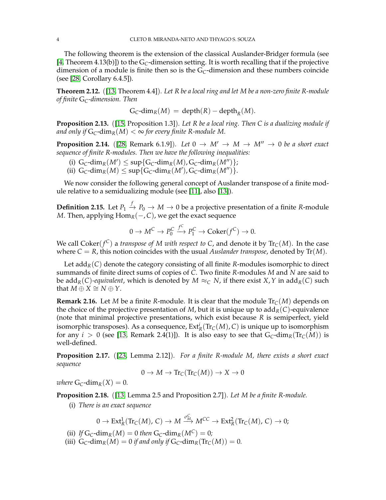The following theorem is the extension of the classical Auslander-Bridger formula (see [\[4,](#page-21-0) Theorem 4.13(b)]) to the G*C*-dimension setting. It is worth recalling that if the projective dimension of a module is finite then so is the  $G<sub>C</sub>$ -dimension and these numbers coincide (see [\[28,](#page-21-23) Corollary 6.4.5]).

<span id="page-3-2"></span>**Theorem 2.12.** ([\[13,](#page-21-24) Theorem 4.4])*. Let R be a local ring and let M be a non-zero finite R-module of finite* G*C-dimension. Then*

$$
G_C\text{-dim}_R(M) = \text{depth}(R) - \text{depth}_R(M).
$$

<span id="page-3-4"></span>**Proposition 2.13.** ([\[15,](#page-21-25) Proposition 1.3])*. Let R be a local ring. Then C is a dualizing module if and only if*  $G_C$ -dim<sub>*R*</sub>(*M*)  $< \infty$  for every finite R-module M.

<span id="page-3-1"></span>**Proposition 2.14.** ([\[28,](#page-21-23) Remark 6.1.9]). Let  $0 \rightarrow M' \rightarrow M \rightarrow M'' \rightarrow 0$  be a short exact *sequence of finite R-modules. Then we have the following inequalities:*

- (i)  $G_C$ -dim<sub>*R*</sub>(*M'*)  $\leq$  sup{ $G_C$ -dim<sub>*R*</sub>(*M*),  $G_C$ -dim<sub>*R*</sub>(*M''*)};
- (ii)  $G_C$ -dim<sub>*R*</sub>(*M*)  $\leq$  sup{ $G_C$ -dim<sub>*R*</sub>(*M'*),  $G_C$ -dim<sub>*R*</sub>(*M''*)}.

We now consider the following general concept of Auslander transpose of a finite module relative to a semidualizing module (see [\[11\]](#page-21-6), also [\[13\]](#page-21-24)).

**Definition 2.15.** Let  $P_1 \stackrel{f}{\to} P_0 \to M \to 0$  be a projective presentation of a finite *R*-module *M*. Then, applying  $Hom_R(-, C)$ , we get the exact sequence

$$
0 \to M^C \to P_0^C \xrightarrow{f^C} P_1^C \to \text{Coker}(f^C) \to 0.
$$

We call  $\operatorname{Coker}(f^{\mathsf{C}})$  a *transpose of M with respect to C*, and denote it by  $\operatorname{Tr}_{\mathsf{C}}(M)$ . In the case where  $C = R$ , this notion coincides with the usual *Auslander transpose*, denoted by  $Tr(M)$ .

Let  $\text{add}_R(C)$  denote the category consisting of all finite *R*-modules isomorphic to direct summands of finite direct sums of copies of *C*. Two finite *R*-modules *M* and *N* are said to be add<sub>*R*</sub>(*C*)*-equivalent*, which is denoted by  $M \approx_C N$ , if there exist  $X$ ,  $Y$  in add<sub>*R*</sub>(*C*) such that  $M \oplus X \cong N \oplus Y$ .

**Remark 2.16.** Let *M* be a finite *R*-module. It is clear that the module  $Tr_C(M)$  depends on the choice of the projective presentation of *M*, but it is unique up to  $\text{add}_R(C)$ -equivalence (note that minimal projective presentations, which exist because *R* is semiperfect, yield isomorphic transposes). As a consequence,  $\text{Ext}^i_R(\text{Tr}_C(M), C)$  is unique up to isomorphism for any  $i > 0$  (see [\[13,](#page-21-24) Remark 2.4(1)]). It is also easy to see that  $G_C$ -dim<sub>*R*</sub>(Tr<sub>*C*</sub>(*M*)) is well-defined.

<span id="page-3-3"></span>**Proposition 2.17.** ([\[23,](#page-21-5) Lemma 2.12])*. For a finite R-module M, there exists a short exact sequence*

$$
0 \to M \to \text{Tr}_C(\text{Tr}_C(M)) \to X \to 0
$$

*where*  $G_C$ -dim<sub>*R*</sub>(*X*) = 0*.* 

<span id="page-3-0"></span>**Proposition 2.18.** ([\[13,](#page-21-24) Lemma 2.5 and Proposition 2.7])*. Let M be a finite R-module.*

(i) *There is an exact sequence*

$$
0 \to \mathrm{Ext}^1_R(\mathrm{Tr}_C(M), C) \to M \xrightarrow{\sigma^C_M} M^{CC} \to \mathrm{Ext}^2_R(\mathrm{Tr}_C(M), C) \to 0;
$$

- (ii) *If*  $G_C$ -dim<sub>*R*</sub>(*M*) = 0 *then*  $G_C$ -dim<sub>*R*</sub>( $M^C$ ) = 0*;*
- (iii)  $G_C$ -dim<sub>*R*</sub>(*M*) = 0 *if and only if*  $G_C$ -dim<sub>*R*</sub>( $Tr_C(M)$ ) = 0*.*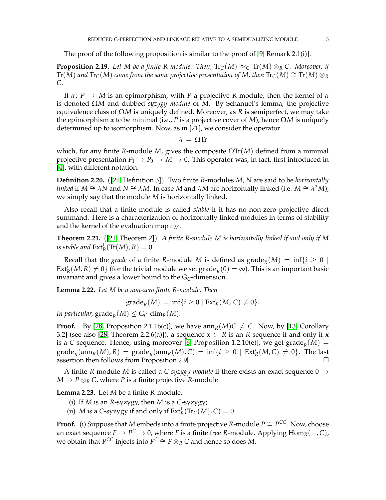### The proof of the following proposition is similar to the proof of [\[9,](#page-21-3) Remark 2.1(i)].

<span id="page-4-1"></span>**Proposition 2.19.** Let M be a finite R-module. Then,  $\text{Tr}_{\mathcal{C}}(M) \approx_{\mathcal{C}} \text{Tr}(M) \otimes_{\mathcal{R}} \mathcal{C}$ . Moreover, if  $\text{Tr}(M)$  and  $\text{Tr}_{C}(M)$  come from the same projective presentation of M, then  $\text{Tr}_{C}(M) \cong \text{Tr}(M) \otimes_R R$ *C.*

If *α*: *P* → *M* is an epimorphism, with *P* a projective *R*-module, then the kernel of *α* is denoted Ω*M* and dubbed *syzygy module* of *M*. By Schanuel's lemma, the projective equivalence class of Ω*M* is uniquely defined. Moreover, as *R* is semiperfect, we may take the epimorphism *α* to be minimal (i.e., *P* is a projective cover of *M*), hence Ω*M* is uniquely determined up to isomorphism. Now, as in [\[21\]](#page-21-7), we consider the operator

*λ* = ΩTr

which, for any finite *R*-module *M*, gives the composite  $\Omega Tr(M)$  defined from a minimal projective presentation  $P_1 \rightarrow P_0 \rightarrow M \rightarrow 0$ . This operator was, in fact, first introduced in [\[4\]](#page-21-0), with different notation.

**Definition 2.20.** ([\[21,](#page-21-7) Definition 3]). Two finite *R*-modules *M*, *N* are said to be *horizontally linked* if  $M \cong \lambda N$  and  $N \cong \lambda M$ . In case  $M$  and  $\lambda M$  are horizontally linked (i.e.  $M \cong \lambda^2 M$ ), we simply say that the module *M* is horizontally linked.

Also recall that a finite module is called *stable* if it has no non-zero projective direct summand. Here is a characterization of horizontally linked modules in terms of stability and the kernel of the evaluation map *σM*.

<span id="page-4-3"></span>**Theorem 2.21.** ([\[21,](#page-21-7) Theorem 2])*. A finite R-module M is horizontally linked if and only if M is stable and*  $\text{Ext}^1_R(\text{Tr}(M), R) = 0$ *.* 

Recall that the *grade* of a finite *R*-module *M* is defined as  $\mathrm{grade}_R(M) = \inf\{i \geq 0 \mid$  $Ext_R^i(M, R) \neq 0$  (for the trivial module we set grade<sub>*R*</sub>(0) = ∞). This is an important basic invariant and gives a lower bound to the  $G_C$ -dimension.

<span id="page-4-0"></span>**Lemma 2.22.** *Let M be a non-zero finite R-module. Then*

$$
\operatorname{grade}_R(M) = \inf\{i \geq 0 \mid \operatorname{Ext}_R^i(M, C) \neq 0\}.
$$

*In particular,*  $\operatorname{grade}_R(M) \leq G_C\text{-dim}_R(M)$ *.* 

**Proof.** By [\[28,](#page-21-23) Proposition 2.1.16(c)], we have  $ann_R(M)C \neq C$ . Now, by [\[13,](#page-21-24) Corollary 3.2] (see also [\[28,](#page-21-23) Theorem 2.2.6(a)]), a sequence  $x \subset R$  is an *R*-sequence if and only if **x** is a *C*-sequence. Hence, using moreover [\[6,](#page-21-26) Proposition 1.2.10(e)], we get  $\mathrm{grade}_R(M) =$  $\operatorname{grade}_R(\operatorname{ann}_R(M), R) = \operatorname{grade}_R(\operatorname{ann}_R(M), C) = \inf\{i \geq 0 \mid \operatorname{Ext}_R^i(M, C) \neq 0\}.$  The last assertion then follows from Proposition [2.9.](#page-2-0)  $\Box$ 

A finite *R*-module *M* is called a *C-syzygy module* if there exists an exact sequence  $0 \rightarrow$  $M \to P \otimes_R C$ , where *P* is a finite projective *R*-module.

<span id="page-4-2"></span>**Lemma 2.23.** Let *M* be a finite *R*-module.

- (i) If *M* is an *R*-syzygy, then *M* is a *C*-syzygy;
- (ii) *M* is a *C*-syzygy if and only if  $Ext_R^1(\text{Tr}_C(M), C) = 0$ .

**Proof.** (i) Suppose that *M* embeds into a finite projective *R*-module  $P \cong P^{CC}$ . Now, choose an exact sequence  $F \to P^C \to 0$ , where  $F$  is a finite free R-module. Applying  $\text{Hom}_R(-, C)$ , we obtain that  $P^{CC}$  injects into  $F^C \cong F \otimes_R C$  and hence so does M.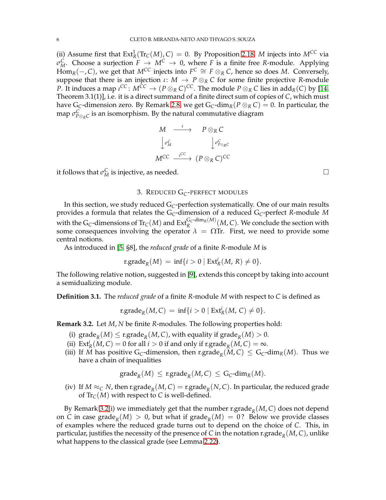(ii) Assume first that  $Ext^1_R(Tr_C(M), C) = 0$ . By Proposition [2.18,](#page-3-0) *M* injects into  $M^{CC}$  via *σ*<sub>*M*</sub>. Choose a surjection *F*  $\rightarrow$  *M*<sup>C</sup>  $\rightarrow$  0, where *F* is a finite free *R*-module. Applying  $\lim_{K \to \infty} \frac{1}{K}$   $(-, C)$ , we get that  $M^{CC}$  injects into  $F^C \cong F \otimes_R C$ , hence so does *M*. Conversely, suppose that there is an injection *ι* : *M* → *P* ⊗*<sup>R</sup> C* for some finite projective *R*-module *P*. It induces a map  $\iota^{CC}$  :  $M^{CC} \to (P \otimes_R C)^{CC}$ . The module  $P \otimes_R C$  lies in add $_R(C)$  by [\[14,](#page-21-27) Theorem 3.1(1)], i.e. it is a direct summand of a finite direct sum of copies of *C*, which must have G<sub>C</sub>-dimension zero. By Remark [2.8,](#page-2-1) we get G<sub>C</sub>-dim<sub>*R*</sub>( $P \otimes_R C$ ) = 0. In particular, the map  $\sigma^\mathcal{C}_{P\otimes_R C}$  is an isomorphism. By the natural commutative diagram

$$
M \longrightarrow P \otimes_R C
$$
  
\n
$$
\downarrow \sigma_M^C \qquad \qquad \downarrow \sigma_{P \otimes_R C}^C
$$
  
\n
$$
M^{CC} \xrightarrow{\iota^{CC}} (P \otimes_R C)^{CC}
$$

<span id="page-5-0"></span>it follows that  $\sigma_M^C$  is injective, as needed.

## 3. REDUCED G*C*-PERFECT MODULES

In this section, we study reduced G*C*-perfection systematically. One of our main results provides a formula that relates the G*C*-dimension of a reduced G*C*-perfect *R*-module *M* with the G<sub>C</sub>-dimensions of  $\text{Tr}_C(M)$  and  $\text{Ext}_R^{\text{G}_C\text{-dim}_R(M)}(M,C)$ . We conclude the section with some consequences involving the operator  $\lambda = \Omega$ Tr. First, we need to provide some central notions.

As introduced in [\[5,](#page-21-1) §8], the *reduced grade* of a finite *R*-module *M* is

$$
\text{r.grade}_{R}(M) = \inf\{i > 0 \mid \text{Ext}_{R}^{i}(M, R) \neq 0\}.
$$

The following relative notion, suggested in [\[9\]](#page-21-3), extends this concept by taking into account a semidualizing module.

**Definition 3.1.** The *reduced grade* of a finite *R*-module *M* with respect to *C* is defined as

$$
\text{r.grade}_R(M,C) = \inf\{i > 0 \mid \text{Ext}^i_R(M,C) \neq 0\}.
$$

<span id="page-5-1"></span>**Remark 3.2.** Let *M*, *N* be finite *R*-modules. The following properties hold:

- (i)  $\mathrm{grade}_R(M) \leq \mathrm{r}.\mathrm{grade}_R(M,C)$ , with equality if  $\mathrm{grade}_R(M) > 0$ .
- (ii)  $\text{Ext}^i_R(M, C) = 0$  for all  $i > 0$  if and only if r.grade<sub>*R*</sub>(*M*, *C*) =  $\infty$ .
- (iii) If *M* has positive G<sub>C</sub>-dimension, then r.grade<sub>*R*</sub>(*M*, *C*)  $\leq$  G<sub>C</sub>-dim<sub>*R*</sub>(*M*). Thus we have a chain of inequalities

$$
\operatorname{grade}_R(M) \leq \operatorname{r.grade}_R(M,C) \leq G_C\text{-dim}_R(M).
$$

(iv) If  $M \approx_C N$ , then r.grade $_R(M, C) = \text{r.grade}_R(N, C)$ . In particular, the reduced grade of  $\text{Tr}_{\mathcal{C}}(M)$  with respect to *C* is well-defined.

By Remark [3.2\(](#page-5-1)i) we immediately get that the number r.grade $_R(M, C)$  does not depend on *C* in case grade<sub>*R*</sub>(*M*) > 0, but what if grade<sub>*R*</sub>(*M*) = 0? Below we provide classes of examples where the reduced grade turns out to depend on the choice of *C*. This, in particular, justifies the necessity of the presence of *C* in the notation r.grade<sub>*R*</sub>(*M*, *C*), unlike what happens to the classical grade (see Lemma [2.22\)](#page-4-0).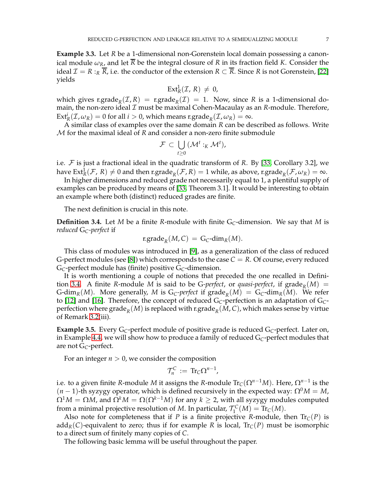<span id="page-6-0"></span>**Example 3.3.** Let *R* be a 1-dimensional non-Gorenstein local domain possessing a canonical module  $\omega_R$ , and let  $\overline{R}$  be the integral closure of R in its fraction field K. Consider the ideal  $\mathcal{I} = R : R \overline{R}$ , i.e. the conductor of the extension  $R \subset \overline{R}$ . Since R is not Gorenstein, [\[22\]](#page-21-28) yields

$$
\text{Ext}^1_R(\mathcal{I}, R) \neq 0,
$$

which gives r.grade<sub>*R*</sub>( $I$ , *R*) = r.grade<sub>*R*</sub>( $I$ ) = 1. Now, since *R* is a 1-dimensional domain, the non-zero ideal  $\mathcal I$  must be maximal Cohen-Macaulay as an  $R$ -module. Therefore,  $\text{Ext}^i_R(\mathcal{I}, \omega_R) = 0$  for all  $i > 0$ , which means r.grade<sub>*R*</sub>( $\mathcal{I}, \omega_R$ ) = ∞.

A similar class of examples over the same domain *R* can be described as follows. Write M for the maximal ideal of *R* and consider a non-zero finite submodule

$$
\mathcal{F} \subset \bigcup_{t \geq 0} \left( \mathcal{M}^t :_{K} \mathcal{M}^t \right),
$$

i.e. F is just a fractional ideal in the quadratic transform of *R*. By [\[33,](#page-21-29) Corollary 3.2], we have  $Ext^1_R(\mathcal{F}, R) \neq 0$  and then r.grade $_R(\mathcal{F}, R) = 1$  while, as above, r.grade $_R(\mathcal{F}, \omega_R) = \infty$ .

In higher dimensions and reduced grade not necessarily equal to 1, a plentiful supply of examples can be produced by means of [\[33,](#page-21-29) Theorem 3.1]. It would be interesting to obtain an example where both (distinct) reduced grades are finite.

The next definition is crucial in this note.

<span id="page-6-1"></span>**Definition 3.4.** Let *M* be a finite *R*-module with finite  $G_C$ -dimension. We say that *M* is *reduced* G*C-perfect* if

$$
r.\mathsf{grade}_R(M,C) = G_C \text{-dim}_R(M).
$$

This class of modules was introduced in [\[9\]](#page-21-3), as a generalization of the class of reduced G-perfect modules (see [\[8\]](#page-21-2)) which corresponds to the case  $C = R$ . Of course, every reduced G*C*-perfect module has (finite) positive G*C*-dimension.

It is worth mentioning a couple of notions that preceded the one recalled in Defini-tion [3.4.](#page-6-1) A finite *R*-module *M* is said to be *G-perfect*, or *quasi-perfect*, if  $\text{grade}_R(M) =$ G-dim<sub>*R*</sub>(*M*). More generally, *M* is G<sub>C</sub>-perfect if grade<sub>*R*</sub>(*M*) = G<sub>C</sub>-dim<sub>*R*</sub>(*M*). We refer to [\[12\]](#page-21-30) and [\[16\]](#page-21-8). Therefore, the concept of reduced G*C*-perfection is an adaptation of G*C*perfection where  $\mathrm{grade}_R(M)$  is replaced with  $\mathrm{r}.\mathrm{grade}_R(M,\mathcal{C})$ , which makes sense by virtue of Remark [3.2\(](#page-5-1)iii).

<span id="page-6-2"></span>**Example 3.5.** Every G*C*-perfect module of positive grade is reduced G*C*-perfect. Later on, in Example [4.4,](#page-12-0) we will show how to produce a family of reduced G*C*-perfect modules that are not G*C*-perfect.

For an integer  $n > 0$ , we consider the composition

$$
\mathcal{T}_n^C := \text{Tr}_C \Omega^{n-1},
$$

i.e. to a given finite *R*-module *M* it assigns the *R-*module  $\mathrm{Tr}_{\mathsf{C}}(\Omega^{n-1}M)$ . Here,  $\Omega^{n-1}$  is the  $(n - 1)$ -th syzygy operator, which is defined recursively in the expected way:  $Ω<sup>0</sup>M = M$ ,  $\Omega^1 M = \Omega M$ , and  $\Omega^k M = \Omega(\Omega^{k-1} M)$  for any  $k \geq 2$ , with all syzygy modules computed from a minimal projective resolution of *M*. In particular,  $\mathcal{T}_1^C(M) = \text{Tr}_C(M)$ .

Also note for completeness that if *P* is a finite projective *R*-module, then  $Tr_C(P)$  is add<sub>*R*</sub>(*C*)-equivalent to zero; thus if for example *R* is local,  $Tr_C(P)$  must be isomorphic to a direct sum of finitely many copies of *C*.

The following basic lemma will be useful throughout the paper.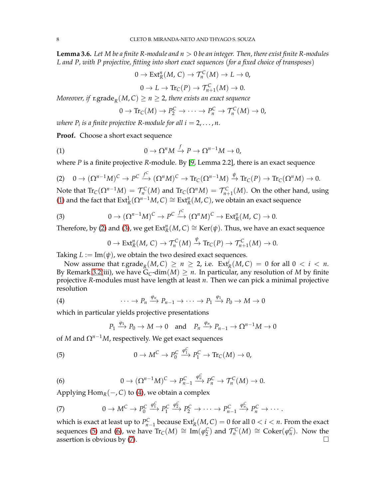<span id="page-7-7"></span>**Lemma 3.6.** *Let M be a finite R-module and n* > 0 *be an integer. Then, there exist finite R-modules L and P, with P projective, fitting into short exact sequences* (*for a fixed choice of transposes*)

<span id="page-7-1"></span>
$$
0 \to \text{Ext}^n_R(M, C) \to \mathcal{T}_n^C(M) \to L \to 0,
$$
  

$$
0 \to L \to \text{Tr}_C(P) \to \mathcal{T}_{n+1}^C(M) \to 0.
$$

 $M$ oreover, if  $\mathrm{r.grade}_{R}(M,C) \geq n \geq 2$ , there exists an exact sequence

<span id="page-7-0"></span>
$$
0 \to \text{Tr}_C(M) \to P_2^C \to \cdots \to P_n^C \to \mathcal{T}_n^C(M) \to 0,
$$

 $\mathit{where} \ \mathit{P}_i \ \mathit{is} \ \mathit{a} \ \mathit{finite} \ \mathit{projective} \ \mathit{R}\textrm{-module} \ \mathit{for} \ \mathit{all} \ \mathit{i} = 2, \ldots, \mathit{n}.$ 

**Proof.** Choose a short exact sequence

(1) 
$$
0 \to \Omega^n M \xrightarrow{f} P \to \Omega^{n-1} M \to 0,
$$

where *P* is a finite projective *R*-module. By [\[9,](#page-21-3) Lemma 2.2], there is an exact sequence

$$
(2) \quad 0 \to (\Omega^{n-1}M)^C \to P^C \xrightarrow{f^C} (\Omega^nM)^C \to \text{Tr}_C(\Omega^{n-1}M) \xrightarrow{\psi} \text{Tr}_C(P) \to \text{Tr}_C(\Omega^nM) \to 0.
$$

Note that  $\text{Tr}_C(\Omega^{n-1}M) = \mathcal{T}_n^C(M)$  and  $\text{Tr}_C(\Omega^nM) = \mathcal{T}_{n+1}^C(M)$ . On the other hand, using [\(1\)](#page-7-0) and the fact that  $Ext^1_R(\Omega^{n-1}M, C) \cong Ext^n_R(M, C)$ , we obtain an exact sequence

(3) 
$$
0 \to (\Omega^{n-1}M)^C \to P^C \xrightarrow{f^C} (\Omega^n M)^C \to \text{Ext}^n_R(M, C) \to 0.
$$

Therefore, by [\(2\)](#page-7-1) and [\(3\)](#page-7-2), we get  $\text{Ext}^n_R(M,\mathcal{C})\cong \text{Ker}(\psi)$ . Thus, we have an exact sequence

<span id="page-7-2"></span>
$$
0 \to \mathrm{Ext}^n_R(M, C) \to \mathcal{T}_n^C(M) \xrightarrow{\psi} \mathrm{Tr}_C(P) \to \mathcal{T}_{n+1}^C(M) \to 0.
$$

Taking  $L := \text{Im}(\psi)$ , we obtain the two desired exact sequences.

Now assume that  $\operatorname{r.grade}_{R}(M, C) \geq n \geq 2$ , i.e.  $\operatorname{Ext}_{R}^{i}(M, C) = 0$  for all  $0 < i < n$ . By Remark [3.2\(](#page-5-1)iii), we have  $G_C$ -dim $(M) \geq n$ . In particular, any resolution of M by finite projective *R*-modules must have length at least *n*. Then we can pick a minimal projective resolution

<span id="page-7-3"></span>(4) 
$$
\cdots \to P_n \xrightarrow{\varphi_n} P_{n-1} \to \cdots \to P_1 \xrightarrow{\varphi_1} P_0 \to M \to 0
$$

which in particular yields projective presentations

<span id="page-7-6"></span><span id="page-7-4"></span>
$$
P_1 \xrightarrow{\varphi_1} P_0 \to M \to 0
$$
 and  $P_n \xrightarrow{\varphi_n} P_{n-1} \to \Omega^{n-1}M \to 0$ 

of *M* and  $\Omega^{n-1}M$ , respectively. We get exact sequences

(5) 
$$
0 \to M^C \to P_0^C \xrightarrow{\varphi_1^C} P_1^C \to \text{Tr}_C(M) \to 0,
$$

<span id="page-7-5"></span>(6) 
$$
0 \to (\Omega^{n-1}M)^C \to P_{n-1}^C \xrightarrow{\varphi_n^C} P_n^C \to \mathcal{T}_n^C(M) \to 0.
$$

Applying  $\text{Hom}_R(-, C)$  to [\(4\)](#page-7-3), we obtain a complex

(7) 
$$
0 \to M^C \to P_0^C \xrightarrow{\varphi_1^C} P_1^C \xrightarrow{\varphi_2^C} P_2^C \to \cdots \to P_{n-1}^C \xrightarrow{\varphi_n^C} P_n^C \to \cdots
$$

which is exact at least up to  $P_{n-1}^C$  because  $Ext_R^i(M, C) = 0$  for all  $0 < i < n$ . From the exact sequences [\(5\)](#page-7-4) and [\(6\)](#page-7-5), we have  $\text{Tr}_C(M) \cong \text{Im}(\varphi_2^C)$  and  $\mathcal{T}_n^C(M) \cong \text{Coker}(\varphi_n^C)$ . Now the assertion is obvious by [\(7\)](#page-7-6).  $\Box$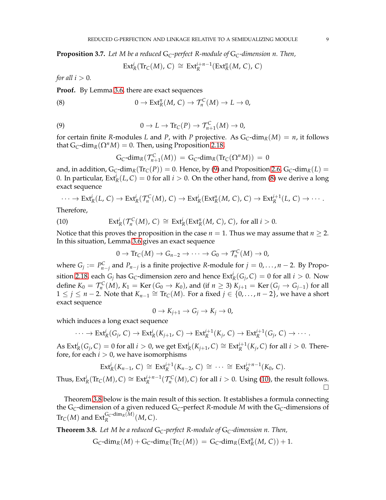<span id="page-8-4"></span>**Proposition 3.7.** *Let M be a reduced* G*C-perfect R-module of* G*C-dimension n. Then,*

<span id="page-8-2"></span>
$$
\text{Ext}^i_R(\text{Tr}_C(M), C) \cong \text{Ext}^{i+n-1}_R(\text{Ext}^n_R(M, C), C)
$$

*for all*  $i > 0$ *.* 

**Proof.** By Lemma [3.6,](#page-7-7) there are exact sequences

<span id="page-8-1"></span>(8) 
$$
0 \to \text{Ext}^n_R(M, C) \to \mathcal{T}_n^C(M) \to L \to 0,
$$

(9) 
$$
0 \to L \to \mathrm{Tr}_\mathbb{C}(P) \to \mathcal{T}_{n+1}^C(M) \to 0,
$$

for certain finite *R*-modules *L* and *P*, with *P* projective. As  $G_C$ -dim<sub>*R*</sub>(*M*) = *n*, it follows that  $G_C$ -dim<sub>*R*</sub>( $\Omega^n M$ ) = 0. Then, using Proposition [2.18,](#page-3-0)

$$
G_C\text{-dim}_R(\mathcal{T}^C_{n+1}(M)) = G_C\text{-dim}_R(\text{Tr}_C(\Omega^n M)) = 0
$$

and, in addition,  $G_C$ -dim<sub>*R*</sub>( $Tr_C(P)$ ) = 0. Hence, by [\(9\)](#page-8-1) and Proposition [2.6,](#page-2-2)  $G_C$ -dim<sub>*R*</sub>( $L$ ) = 0. In particular,  $Ext^i_R(L, C) = 0$  for all  $i > 0$ . On the other hand, from [\(8\)](#page-8-2) we derive a long exact sequence

$$
\cdots \to \text{Ext}^i_R(L, C) \to \text{Ext}^i_R(\mathcal{T}^C_n(M), C) \to \text{Ext}^i_R(\text{Ext}^n_R(M, C), C) \to \text{Ext}^{i+1}_R(L, C) \to \cdots.
$$

<span id="page-8-3"></span>Therefore,

(10) 
$$
\operatorname{Ext}^i_R(\mathcal{T}_n^C(M), C) \cong \operatorname{Ext}^i_R(\operatorname{Ext}^n_R(M, C), C), \text{ for all } i > 0.
$$

Notice that this proves the proposition in the case  $n = 1$ . Thus we may assume that  $n \geq 2$ . In this situation, Lemma [3.6](#page-7-7) gives an exact sequence

$$
0 \to \text{Tr}_\mathcal{C}(M) \to G_{n-2} \to \cdots \to G_0 \to \mathcal{T}_n^C(M) \to 0,
$$

where  $G_j := P_{n-j}^C$  and  $P_{n-j}$  is a finite projective *R*-module for  $j = 0, ..., n-2$ . By Propo-sition [2.18,](#page-3-0) each  $G_j$  has  $G_C$ -dimension zero and hence  $Ext_R^i(G_j, C) = 0$  for all  $i > 0$ . Now define  $K_0 = \mathcal{T}_n^C(M)$ ,  $K_1 = \text{Ker}(G_0 \to K_0)$ , and (if  $n \geq 3$ )  $K_{j+1} = \text{Ker}(G_j \to G_{j-1})$  for all  $1 \leq j \leq n-2$ . Note that  $K_{n-1} \cong \text{Tr}_\mathcal{C}(M)$ . For a fixed  $j \in \{0, ..., n-2\}$ , we have a short exact sequence

$$
0 \to K_{j+1} \to G_j \to K_j \to 0,
$$

which induces a long exact sequence

$$
\cdots \to \text{Ext}^i_R(G_j, C) \to \text{Ext}^i_R(K_{j+1}, C) \to \text{Ext}^{i+1}_R(K_j, C) \to \text{Ext}^{i+1}_R(G_j, C) \to \cdots.
$$

As  $Ext^i_R(G_j, C) = 0$  for all  $i > 0$ , we get  $Ext^i_R(K_{j+1}, C) \cong Ext^{i+1}_R(K_j, C)$  for all  $i > 0$ . Therefore, for each  $i > 0$ , we have isomorphisms

$$
Ext^{i}_{R}(K_{n-1}, C) \cong Ext^{i+1}_{R}(K_{n-2}, C) \cong \cdots \cong Ext^{i+n-1}_{R}(K_{0}, C).
$$

Thus,  $\text{Ext}^i_R(\text{Tr}_\mathcal{C}(M), \mathcal{C}) \cong \text{Ext}^{i+n-1}_R(\mathcal{T}_n^{\mathcal{C}}(M), \mathcal{C})$  for all  $i > 0$ . Using [\(10\)](#page-8-3), the result follows.  $\Box$ 

Theorem [3.8](#page-8-0) below is the main result of this section. It establishes a formula connecting the G*C*-dimension of a given reduced G*C*-perfect *R*-module *M* with the G*C*-dimensions of  $\text{Tr}_C(M)$  and  $\text{Ext}_R^{\mathbf{G}_C\text{-dim}_R(M)}(M,C).$ 

<span id="page-8-0"></span>**Theorem 3.8.** *Let M be a reduced* G*C-perfect R-module of* G*C-dimension n. Then,*

$$
G_C\text{-dim}_R(M) + G_C\text{-dim}_R(\text{Tr}_C(M)) = G_C\text{-dim}_R(\text{Ext}_R^n(M, C)) + 1.
$$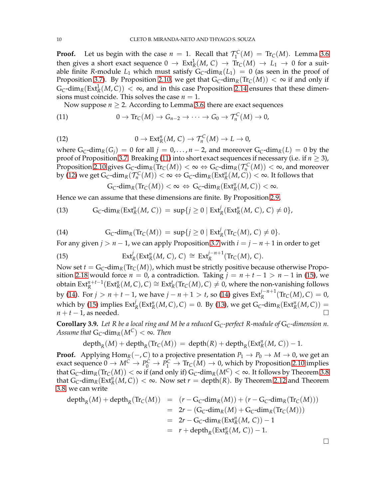**Proof.** Let us begin with the case  $n = 1$ . Recall that  $\mathcal{T}_1^C(M) = \text{Tr}_C(M)$ . Lemma [3.6](#page-7-7) then gives a short exact sequence  $0 \to Ext^1_R(M,\, {\cal C}) \to \, {\rm Tr}_C(M) \, \to \, L_1 \, \to \, 0$  for a suitable finite *R*-module  $L_1$  which must satisfy  $G_C$ -dim<sub>*R*</sub>( $L_1$ ) = 0 (as seen in the proof of Proposition [3.7\)](#page-8-4). By Proposition [2.10,](#page-2-3) we get that  $G_C$ -dim<sub>*R*</sub>(Tr<sub>*C*</sub>(*M*)) <  $\infty$  if and only if  $G_C\text{-dim}_R(\text{Ext}^1_R(M, C)) < \infty$ , and in this case Proposition [2.14](#page-3-1) ensures that these dimensions must coincide. This solves the case  $n = 1$ .

Now suppose  $n \geq 2$ . According to Lemma [3.6,](#page-7-7) there are exact sequences

<span id="page-9-1"></span>(11) 
$$
0 \to \text{Tr}_C(M) \to G_{n-2} \to \cdots \to G_0 \to \mathcal{T}_n^C(M) \to 0,
$$

(12) 
$$
0 \to \text{Ext}^n_R(M, C) \to \mathcal{T}_n^C(M) \to L \to 0,
$$

where  $G_C$ -dim<sub>*R*</sub>( $G_i$ ) = 0 for all *j* = 0, ..., *n* − 2, and moreover  $G_C$ -dim<sub>*R*</sub>( $L$ ) = 0 by the proof of Proposition [3.7.](#page-8-4) Breaking [\(11\)](#page-9-0) into short exact sequences if necessary (i.e. if  $n \geq 3$ ), Proposition [2.10](#page-2-3) gives  $G_C$ -dim<sub>*R*</sub>( $Tr_C(M)) < \infty \Leftrightarrow G_C$ -dim<sub>*R*</sub>( $\mathcal{T}_n^C(M)) < \infty$ , and moreover by [\(12\)](#page-9-1) we get  $G_C$ -dim $_R(\mathcal{T}_n^C(M)) < \infty \Leftrightarrow G_C$ -dim $_R(\operatorname{Ext}_R^n(M, C)) < \infty$ . It follows that

<span id="page-9-4"></span><span id="page-9-0"></span>
$$
G_C\text{-dim}_R(\text{Tr}_C(M)) < \infty \Leftrightarrow G_C\text{-dim}_R(\text{Ext}^n_R(M,C)) < \infty.
$$

Hence we can assume that these dimensions are finite. By Proposition [2.9,](#page-2-0)

(13) 
$$
G_C\text{-dim}_R(\text{Ext}^n_R(M, C)) = \sup\{j \geq 0 \mid \text{Ext}^j_R(\text{Ext}^n_R(M, C), C) \neq 0\},
$$

<span id="page-9-3"></span>(14) 
$$
G_C\text{-dim}_R(\text{Tr}_C(M)) = \sup\{j \geq 0 \mid \text{Ext}^j_R(\text{Tr}_C(M), C) \neq 0\}.
$$

For any given  $j > n - 1$ , we can apply Proposition [3.7](#page-8-4) with  $i = j - n + 1$  in order to get

(15) 
$$
\operatorname{Ext}^j_R(\operatorname{Ext}^n_R(M,\,C),\,C)\,\cong\,\operatorname{Ext}^{j-n+1}_R(\operatorname{Tr}_C(M),\,C).
$$

Now set  $t = G_C$ -dim<sub>*R*</sub>(Tr<sub>C</sub>(*M*)), which must be strictly positive because otherwise Propo-sition [2.18](#page-3-0) would force  $n = 0$ , a contradiction. Taking  $j = n + t - 1 > n - 1$  in [\(15\)](#page-9-2), we obtain  $Ext^{n+t-1}_R(Ext^n_R(M, C), C) ≅ Ext^t_R(Tr_C(M), C) ≠ 0$ , where the non-vanishing follows by [\(14\)](#page-9-3). For  $j > n + t - 1$ , we have  $j - n + 1 > t$ , so [\(14\)](#page-9-3) gives  $\text{Ext}_{R}^{j-n+1}(\text{Tr}_{C}(M), C) = 0$ , which by [\(15\)](#page-9-2) implies  $\text{Ext}^j_R(\text{Ext}^n_R(M, C), C) = 0$ . By [\(13\)](#page-9-4), we get  $G_C\text{-dim}_R(\text{Ext}^n_R(M, C)) =$  $n + t - 1$ , as needed.

<span id="page-9-5"></span>**Corollary 3.9.** Let R be a local ring and M be a reduced  $G_C$ -perfect R-module of  $G_C$ -dimension n. *Assume that*  $G_C$ -dim<sub>*R*</sub>( $M^C$ ) <  $\infty$ *. Then* 

$$
\mathrm{depth}_R(M)+\mathrm{depth}_R(\mathrm{Tr}_C(M))\,=\, \mathrm{depth}(R)+\mathrm{depth}_R(\mathrm{Ext}^n_R(M,\,C))-1.
$$

**Proof.** Applying Hom<sub>*R*</sub>(−, *C*) to a projective presentation  $P_1 \rightarrow P_0 \rightarrow M \rightarrow 0$ , we get an exact sequence  $0 \to M^C \to P_0^C \to P_1^C \to \text{Tr}_C(M) \to 0$ , which by Proposition [2.10](#page-2-3) implies that  $G_C$ -dim<sub>*R*</sub>(Tr<sub>*C*</sub>(*M*)) <  $\infty$  if (and only if)  $G_C$ -dim<sub>*R*</sub>( $M^C$ ) <  $\infty$ . It follows by Theorem [3.8](#page-8-0) that  $G_C$ -dim<sub>*R*</sub>( $Ex_R^n(M, C)$ ) <  $\infty$ . Now set *r* = depth(*R*). By Theorem [2.12](#page-3-2) and Theorem [3.8,](#page-8-0) we can write

$$
depth_R(M) + depth_R(Tr_C(M)) = (r - G_C - dim_R(M)) + (r - G_C - dim_R(Tr_C(M)))
$$
  
=  $2r - (G_C - dim_R(M) + G_C - dim_R(Tr_C(M)))$   
=  $2r - G_C - dim_R(Ext_R^n(M, C)) - 1$   
=  $r + depth_R(Ext_R^n(M, C)) - 1$ .

<span id="page-9-2"></span>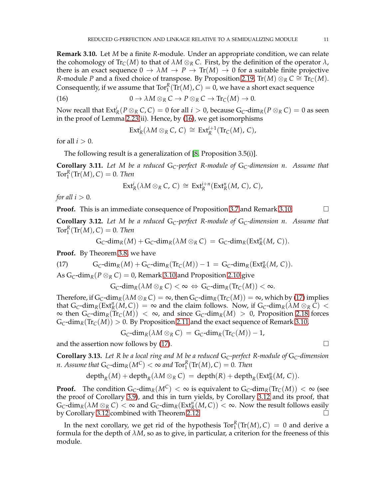<span id="page-10-1"></span>**Remark 3.10.** Let *M* be a finite *R*-module. Under an appropriate condition, we can relate the cohomology of  $\text{Tr}_{\mathcal{C}}(M)$  to that of  $\lambda M \otimes_R C$ . First, by the definition of the operator  $\lambda$ , there is an exact sequence  $0 \to \lambda M \to P \to \text{Tr}(M) \to 0$  for a suitable finite projective *R*-module *P* and a fixed choice of transpose. By Proposition [2.19,](#page-4-1) Tr(*M*) ⊗*R*  $C \cong \text{Tr}_C(M)$ . Consequently, if we assume that  $Tor_1^R(Tr(M), C) = 0$ , we have a short exact sequence

(16) 
$$
0 \to \lambda M \otimes_R C \to P \otimes_R C \to \text{Tr}_C(M) \to 0.
$$

Now recall that  $\text{Ext}^i_R(P \otimes_R C, C) = 0$  for all  $i > 0$ , because  $\text{G}_C\text{-dim}_R(P \otimes_R C) = 0$  as seen in the proof of Lemma [2.23\(](#page-4-2)ii). Hence, by [\(16\)](#page-10-0), we get isomorphisms

<span id="page-10-0"></span>
$$
\text{Ext}^i_R(\lambda M \otimes_R C, C) \cong \text{Ext}^{i+1}_R(\text{Tr}_C(M), C),
$$

for all  $i > 0$ .

The following result is a generalization of [\[8,](#page-21-2) Proposition 3.5(i)].

<span id="page-10-5"></span>**Corollary 3.11.** *Let M be a reduced* G*C-perfect R-module of* G*C-dimension n. Assume that*  $Tor_1^R(\text{Tr}(M), C) = 0$ . Then

$$
\text{Ext}^i_R(\lambda M \otimes_R C, C) \cong \text{Ext}^{i+n}_R(\text{Ext}^n_R(M, C), C),
$$

*for all*  $i > 0$ *.* 

**Proof.** This is an immediate consequence of Proposition [3.7](#page-8-4) and Remark [3.10.](#page-10-1)

<span id="page-10-3"></span>**Corollary 3.12.** *Let M be a reduced* G*C-perfect R-module of* G*C-dimension n. Assume that*  $Tor_1^R(\text{Tr}(M), C) = 0$ . Then

$$
G_C\text{-dim}_R(M) + G_C\text{-dim}_R(\lambda M \otimes_R C) = G_C\text{-dim}_R(\text{Ext}^n_R(M, C)).
$$

**Proof.** By Theorem [3.8,](#page-8-0) we have

(17) 
$$
G_C\text{-dim}_R(M) + G_C\text{-dim}_R(\text{Tr}_C(M)) - 1 = G_C\text{-dim}_R(\text{Ext}_R^n(M, C)).
$$

As  $G_C$ -dim<sub>*R*</sub>( $P \otimes_R C$ ) = 0, Remark [3.10](#page-10-1) and Proposition [2.10](#page-2-3) give

<span id="page-10-2"></span>
$$
G_C\text{-dim}_R(\lambda M\otimes_R C)<\infty \ \Leftrightarrow \ G_C\text{-dim}_R(\text{Tr}_C(M))<\infty.
$$

Therefore, if  $G_C$ -dim<sub>*R*</sub>( $\lambda M \otimes_R C$ ) =  $\infty$ , then  $G_C$ -dim<sub>*R*</sub>( $Tr_C(M)$ ) =  $\infty$ , which by [\(17\)](#page-10-2) implies that  $G_C$ -dim<sub>*R*</sub>( $Ext_R^n(M, C)$ ) = ∞ and the claim follows. Now, if  $G_C$ -dim<sub>*R*</sub>( $\lambda M \otimes_R C$ ) <  $\infty$  then G<sub>C</sub>-dim<sub>*R*</sub>(Tr<sub>C</sub>(*M*)) < ∞, and since G<sub>C</sub>-dim<sub>*R*</sub>(*M*) > 0, Proposition [2.18](#page-3-0) forces  $G_C$ -dim<sub>*R*</sub>(Tr<sub>*C*</sub>(*M*)) > 0. By Proposition [2.11](#page-2-4) and the exact sequence of Remark [3.10,](#page-10-1)

$$
\mathsf{G}_{\mathsf{C}}\text{-}\dim_{R}(\lambda M \otimes_{R} \mathsf{C}) = \mathsf{G}_{\mathsf{C}}\text{-}\dim_{R}(\mathrm{Tr}_{\mathsf{C}}(M)) - 1,
$$

and the assertion now follows by [\(17\)](#page-10-2).

<span id="page-10-4"></span>**Corollary 3.13.** *Let R be a local ring and M be a reduced* G*C-perfect R-module of* G*C-dimension n. Assume that*  $G_C$ -di $m_R(M^C) < \infty$  and  $Tor_1^R(Tr(M), C) = 0$ *. Then* 

$$
\mathrm{depth}_R(M)+\mathrm{depth}_R(\lambda M\otimes_R C)=\mathrm{depth}(R)+\mathrm{depth}_R(\mathrm{Ext}^n_R(M,\,C)).
$$

**Proof.** The condition  $G_C$ -dim<sub>*R*</sub>( $M^C$ ) <  $\infty$  is equivalent to  $G_C$ -dim<sub>*R*</sub>( $Tr_C(M)$ ) <  $\infty$  (see the proof of Corollary [3.9\)](#page-9-5), and this in turn yields, by Corollary [3.12](#page-10-3) and its proof, that  $G_C$ -dim<sub>*R*</sub>( $\lambda M \otimes_R C$ ) <  $\infty$  and  $G_C$ -dim<sub>*R*</sub>( $Ext_R^n(M, C)$ ) <  $\infty$ . Now the result follows easily by Corollary [3.12](#page-10-3) combined with Theorem [2.12.](#page-3-2)

In the next corollary, we get rid of the hypothesis  $Tor_1^R(Tr(M), C) = 0$  and derive a formula for the depth of  $\lambda M$ , so as to give, in particular, a criterion for the freeness of this module.

$$
\qquad \qquad \Box
$$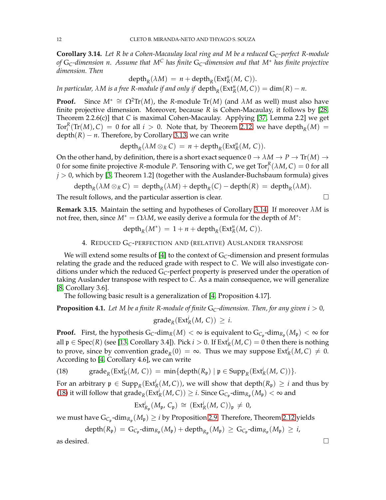<span id="page-11-1"></span>**Corollary 3.14.** *Let R be a Cohen-Macaulay local ring and M be a reduced* G*C-perfect R-module of* G*C-dimension n. Assume that M<sup>C</sup> has finite* G*C-dimension and that M*<sup>∗</sup> *has finite projective dimension. Then*

$$
\text{depth}_R(\lambda M) = n + \text{depth}_R(\text{Ext}^n_R(M, C)).
$$

*In particular,*  $\lambda M$  *is a free R-module if and only if*  $\text{depth}_R(\text{Ext}^n_R(M, C)) = \text{dim}(R) - n$ .

**Proof.** Since  $M^* \cong \Omega^2 \text{Tr}(M)$ , the *R*-module  $\text{Tr}(M)$  (and  $\lambda M$  as well) must also have finite projective dimension. Moreover, because *R* is Cohen-Macaulay, it follows by [\[28,](#page-21-23) Theorem 2.2.6(c)] that *C* is maximal Cohen-Macaulay. Applying [\[37,](#page-22-2) Lemma 2.2] we get  $\text{Tor}_{i}^{R}(\text{Tr}(M), C) = 0$  for all  $i > 0$ . Note that, by Theorem [2.12,](#page-3-2) we have depth<sub>R</sub> $(M) =$  $depth(R) - n$ . Therefore, by Corollary [3.13,](#page-10-4) we can write

$$
\text{depth}_R(\lambda M \otimes_R C) = n + \text{depth}_R(\text{Ext}^n_R(M, C)).
$$

On the other hand, by definition, there is a short exact sequence  $0 \to \lambda M \to P \to \text{Tr}(M) \to$ 0 for some finite projective *R*-module *P*. Tensoring with *C*, we get  $\mathrm{Tor}_{j}^{R}(\lambda M,C)=0$  for all  $j > 0$ , which by [\[3,](#page-21-31) Theorem 1.2] (together with the Auslander-Buchsbaum formula) gives

 $\text{depth}_R(\lambda M \otimes_R C) = \text{depth}_R(\lambda M) + \text{depth}_R(C) - \text{depth}(R) = \text{depth}_R(\lambda M).$ 

The result follows, and the particular assertion is clear.  $\Box$ 

**Remark 3.15.** Maintain the setting and hypotheses of Corollary [3.14.](#page-11-1) If moreover *λM* is not free, then, since  $M^* = \Omega \lambda M$ , we easily derive a formula for the depth of  $M^*$ :

 $depth_R(M^*) = 1 + n + depth_R(Ext_R^n(M, C)).$ 

4. REDUCED G*C*-PERFECTION AND (RELATIVE) AUSLANDER TRANSPOSE

<span id="page-11-0"></span>We will extend some results of [\[4\]](#page-21-0) to the context of G<sub>C</sub>-dimension and present formulas relating the grade and the reduced grade with respect to *C*. We will also investigate conditions under which the reduced G*C*-perfect property is preserved under the operation of taking Auslander transpose with respect to *C*. As a main consequence, we will generalize [\[8,](#page-21-2) Corollary 3.6].

The following basic result is a generalization of [\[4,](#page-21-0) Proposition 4.17].

<span id="page-11-3"></span>**Proposition 4.1.** Let M be a finite R-module of finite  $G_C$ -dimension. Then, for any given  $i > 0$ ,

<span id="page-11-2"></span>
$$
\operatorname{grade}_R(\operatorname{Ext}^i_R(M,\,C))\,\geq\,i.
$$

**Proof.** First, the hypothesis  $G_C$ -dim $_R(M) < \infty$  is equivalent to  $G_{C_p}$ -dim $_{R_p}(M_p) < \infty$  for all  $\mathfrak{p} \in \text{Spec}(R)$  (see [\[13,](#page-21-24) Corollary 3.4]). Pick  $i > 0$ . If  $\text{Ext}^i_R(M, C) = 0$  then there is nothing to prove, since by convention grade<sub>*R*</sub>(0) =  $\infty$ . Thus we may suppose Ext<sup>*i*</sup><sub>*R*</sub>(*M*, *C*)  $\neq$  0. According to [\[4,](#page-21-0) Corollary 4.6], we can write

(18)  $\qquad \text{grade}_R(\text{Ext}^i_R(M, C)) = \min\{\text{depth}(R_{\mathfrak{p}}) \mid \mathfrak{p} \in \text{Supp}_R(\text{Ext}^i_R(M, C))\}.$ 

For an arbitrary  $\mathfrak{p} \in \text{Supp}_R(\text{Ext}^i_R(M, C))$ , we will show that depth $(R_{\mathfrak{p}}) \geq i$  and thus by [\(18\)](#page-11-2) it will follow that  $\mathrm{grade}_R(\mathrm{Ext}^i_R(M,C))\geq i$ . Since  $\mathrm{G}_{C_{\mathfrak{p}}}$ -dim $_{R_{\mathfrak{p}}}(M_{\mathfrak{p}})<\infty$  and

$$
\text{Ext}^i_{R_{\mathfrak{p}}}(M_{\mathfrak{p}}, C_{\mathfrak{p}}) \,\cong\, (\text{Ext}^i_R(M, C))_{\mathfrak{p}} \,\neq\, 0,
$$

we must have  $G_{C_{\mathfrak{p}}}$ -dim $_{R_{\mathfrak{p}}}(M_{\mathfrak{p}}) \geq i$  by Proposition [2.9.](#page-2-0) Therefore, Theorem [2.12](#page-3-2) yields

 $\mathsf{depth}(R_\mathfrak{p}) \ = \ \mathsf{G}_{\mathsf{C}_{\mathfrak{p}}} \text{-}\mathsf{dim}_{R_\mathfrak{p}}(M_\mathfrak{p}) \ + \ \mathsf{depth}_{R_\mathfrak{p}}(M_\mathfrak{p}) \ \ge \ \mathsf{G}_{\mathsf{C}_{\mathfrak{p}}} \text{-}\mathsf{dim}_{R_\mathfrak{p}}(M_\mathfrak{p}) \ \ge \ i,$ 

as desired.  $\Box$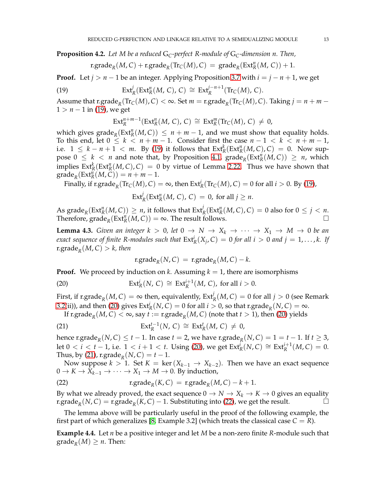<span id="page-12-6"></span>**Proposition 4.2.** *Let M be a reduced* G*C-perfect R-module of* G*C-dimension n. Then,*

$$
r.\text{grade}_R(M,C) + r.\text{grade}_R(\text{Tr}_C(M),C) = \text{grade}_R(\text{Ext}_R^n(M,C)) + 1.
$$

**Proof.** Let  $j > n - 1$  be an integer. Applying Proposition [3.7](#page-8-4) with  $i = j - n + 1$ , we get

(19) 
$$
\operatorname{Ext}^j_R(\operatorname{Ext}^n_R(M,\,C),\,C)\,\cong\,\operatorname{Ext}^{j-n+1}_R(\operatorname{Tr}_C(M),\,C).
$$

Assume that  $\operatorname{r.grade}_{R}(\operatorname{Tr}_{C}(M), C) < \infty$ . Set  $m = \operatorname{r.grade}_{R}(\operatorname{Tr}_{C}(M), C)$ . Taking  $j = n + m - 1$ 1 > *n* − 1 in [\(19\)](#page-12-1), we get

<span id="page-12-1"></span>
$$
\operatorname{Ext}^{n+m-1}_R(\operatorname{Ext}^n_R(M,\,C),\,C)\,\cong\,\operatorname{Ext}^m_R(\operatorname{Tr}_C(M),\,C)\,\neq\,0,
$$

which gives  $\text{grade}_R(\text{Ext}^n_R(M, C)) \leq n + m - 1$ , and we must show that equality holds. To this end, let  $0 \leq k < n+m-1$ . Consider first the case  $n-1 < k < n+m-1$ , i.e. 1 ≤ *k* − *n* + 1 < *m*. By [\(19\)](#page-12-1) it follows that  $Ext^{k}_R(Ext^{n}_R(M, C), C) = 0$ . Now suppose  $0 \leq k < n$  and note that, by Proposition [4.1,](#page-11-3)  $\text{grade}_R(\text{Ext}_R^n(M, C)) \geq n$ , which implies  $\text{Ext}^k_R(\text{Ext}^n_R(M, C), C) = 0$  by virtue of Lemma [2.22.](#page-4-0) Thus we have shown that  $\operatorname{grade}_R(\operatorname{Ext}_R^n(M,\widetilde{C})) = n + m - 1.$ 

Finally, if  $\mathrm{r.grade}_{R}(\mathrm{Tr}_{C}(M), C) = \infty$ , then  $\mathrm{Ext}_{R}^{i}(\mathrm{Tr}_{C}(M), C) = 0$  for all  $i > 0$ . By [\(19\)](#page-12-1),

$$
\operatorname{Ext}^j_R(\operatorname{Ext}^n_R(M,\,C),\,C)\,=\,0,\text{ for all }j\geq n.
$$

As  $\mathrm{grade}_R(\mathrm{Ext}^n_R(M, C)) \ge n$ , it follows that  $\mathrm{Ext}^j_R(\mathrm{Ext}^n_R(M, C), C) = 0$  also for  $0 \le j < n$ . Therefore,  $\text{grade}_R(\text{Ext}_R^n(M, C)) = \infty$ . The result follows.

<span id="page-12-5"></span>**Lemma 4.3.** *Given an integer*  $k > 0$ *, let*  $0 \rightarrow N \rightarrow X_k \rightarrow \cdots \rightarrow X_1 \rightarrow M \rightarrow 0$  *be an exact sequence of finite R-modules such that*  $\text{Ext}^i_R(X_j,\mathcal{C}) = 0$  *for all i*  $> 0$  *and j* = 1,..., *k.* If r.grade*<sup>R</sup>* (*M*, *C*) > *k, then*

<span id="page-12-4"></span><span id="page-12-3"></span><span id="page-12-2"></span>
$$
r.\text{grade}_R(N,C) = r.\text{grade}_R(M,C) - k.
$$

**Proof.** We proceed by induction on *k*. Assuming  $k = 1$ , there are isomorphisms

(20) 
$$
\operatorname{Ext}^i_R(N, C) \cong \operatorname{Ext}^{i+1}_R(M, C), \text{ for all } i > 0.
$$

First, if  $\mathrm{r.grade}_{R}(M,C) = \infty$  then, equivalently,  $\mathrm{Ext}^{j}_{R}(M,C) = 0$  for all  $j > 0$  (see Remark [3.2\(](#page-5-1)ii)), and then [\(20\)](#page-12-2) gives  $Ext_R^i(N, C) = 0$  for all  $i > 0$ , so that r.grade<sub>*R*</sub>(*N*, *C*) = ∞.

If  $\text{r.grade}_R(M, C) < \infty$ , say  $t := \text{r.grade}_R(M, C)$  (note that  $t > 1$ ), then [\(20\)](#page-12-2) yields

(21) 
$$
\operatorname{Ext}^{t-1}_R(N, C) \cong \operatorname{Ext}^t_R(M, C) \neq 0,
$$

hence r.grade $_R(N, C) \leq t - 1$ . In case  $t = 2$ , we have r.grade $_R(N, C) = 1 = t - 1$ . If  $t \geq 3$ , let 0 < *i* < *t* − 1, i.e.  $1 < i + 1 < t$ . Using [\(20\)](#page-12-2), we get  $\text{Ext}_{R}^{i}(N, C) \cong \text{Ext}_{R}^{i+1}(M, C) = 0$ . Thus, by [\(21\)](#page-12-3), r.grade<sub>R</sub>( $N, C$ ) =  $t-1$ .

Now suppose  $k > 1$ . Set  $K = \text{ker}(X_{k-1} \to X_{k-2})$ . Then we have an exact sequence  $0 \to K \to X_{k-1} \to \cdots \to X_1 \to M \to 0$ . By induction,

(22) 
$$
\operatorname{r.grade}_{R}(K,C) = \operatorname{r.grade}_{R}(M,C) - k + 1.
$$

By what we already proved, the exact sequence  $0 \to N \to X_k \to K \to 0$  gives an equality r.grade<sub>*R*</sub>(*N*, *C*) = r.grade<sub>*R*</sub>(*K*, *C*) − 1. Substituting into [\(22\)](#page-12-4), we get the result.  $\Box$ 

The lemma above will be particularly useful in the proof of the following example, the first part of which generalizes [\[8,](#page-21-2) Example 3.2] (which treats the classical case  $C = R$ ).

<span id="page-12-0"></span>**Example 4.4.** Let *n* be a positive integer and let *M* be a non-zero finite *R*-module such that  $\operatorname{grade}_R(M) \geq n$ . Then: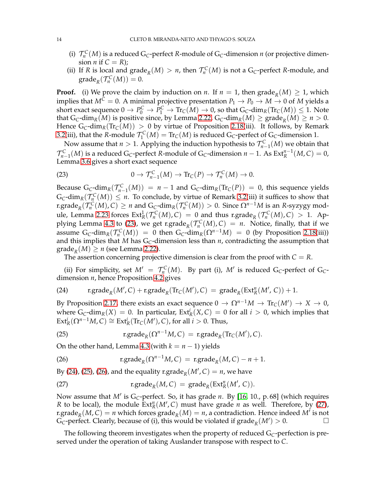- (i)  $\mathcal{T}_n^C(M)$  is a reduced G<sub>C</sub>-perfect *R*-module of G<sub>C</sub>-dimension *n* (or projective dimension *n* if  $C = R$ );
- (ii) If *R* is local and  $\text{grade}_R(M) > n$ , then  $\mathcal{T}_n^C(M)$  is not a  $G_C$ -perfect *R*-module, and  $\operatorname{grade}_R(\mathcal{T}_n^{\mathcal{C}}(M))=0.$

**Proof.** (i) We prove the claim by induction on *n*. If  $n = 1$ , then grade<sub>*R*</sub>(*M*)  $\geq 1$ , which implies that  $M^C = 0$ . A minimal projective presentation  $P_1 \to P_0 \to M \to 0$  of M yields a short exact sequence  $0 \to P_0^C \to P_1^C \to \text{Tr}_C(M) \to 0$ , so that  $G_C$ -dim<sub>*R*</sub>(Tr<sub>*C*</sub>(*M*))  $\leq 1$ . Note that  $G_C$ -dim<sub>*R*</sub>(*M*) is positive since, by Lemma [2.22,](#page-4-0)  $G_C$ -dim<sub>*R*</sub>(*M*)  $\geq$  grade<sub>*R*</sub>(*M*)  $\geq$  *n*  $>$  0. Hence  $G_C$ -dim<sub>*R*</sub>(Tr<sub>*C*</sub>(*M*)) > 0 by virtue of Proposition [2.18\(](#page-3-0)iii). It follows, by Remark [3.2\(](#page-5-1)iii), that the *R*-module  $\mathcal{T}_1^C(M) = \text{Tr}_C(M)$  is reduced G<sub>*C*</sub>-perfect of G<sub>*C*</sub>-dimension 1.

Now assume that  $n > 1$ . Applying the induction hypothesis to  $\mathcal{T}_{n-1}^{\mathcal{C}}(M)$  we obtain that  $\mathcal{T}_{n-1}^C(M)$  is a reduced G<sub>*C*</sub>-perfect *R*-module of G<sub>*C*</sub>-dimension *n* − 1. As  $Ext_R^{n-1}(M, C) = 0$ , Lemma [3.6](#page-7-7) gives a short exact sequence

<span id="page-13-0"></span>(23) 
$$
0 \to \mathcal{T}_{n-1}^C(M) \to \text{Tr}_C(P) \to \mathcal{T}_n^C(M) \to 0.
$$

Because  $G_C$ -dim<sub>*R*</sub>( $T_{n-1}^C(M)$ ) = *n* − 1 and  $G_C$ -dim<sub>*R*</sub>(Tr<sub>*C*</sub>(*P*)) = 0, this sequence yields  $G_C$ -dim<sub>*R*</sub>( $\mathcal{T}_n^C(M)$ )  $\leq n$ . To conclude, by virtue of Remark [3.2\(](#page-5-1)iii) it suffices to show that r.grade<sub>*R*</sub>( $\mathcal{T}_n^C(M)$ , *C*) ≥ *n* and G<sub>C</sub>-dim<sub>*R*</sub>( $\mathcal{T}_n^C(M)$ ) > 0. Since  $\Omega^{n-1}M$  is an *R*-syzygy mod-ule, Lemma [2.23](#page-4-2) forces  $Ext^1_R(\mathcal{T}_n^C(M), C) = 0$  and thus r.grade<sub>*R*</sub> ( $\mathcal{T}_n^C(M), C) > 1$ . Ap-plying Lemma [4.3](#page-12-5) to [\(23\)](#page-13-0), we get r.grade<sub>R</sub>( $\mathcal{T}_n^C(M)$ ,  $C$ ) = *n*. Notice, finally, that if we assume  $G_C$ -dim<sub>*R*</sub>( $\mathcal{T}_n^C(M)$ ) = 0 then  $G_C$ -dim<sub>*R*</sub>( $\Omega^{n-1}M$ ) = 0 (by Proposition [2.18\(](#page-3-0)iii)) and this implies that *M* has  $G_C$ -dimension less than  $n$ , contradicting the assumption that grade<sub>R</sub> $(M) \ge n$  (see Lemma [2.22\)](#page-4-0).

<span id="page-13-1"></span>The assertion concerning projective dimension is clear from the proof with  $C = R$ .

(ii) For simplicity, set  $M' = \mathcal{T}_n^C(M)$ . By part (i), M' is reduced G<sub>C</sub>-perfect of G<sub>C</sub>dimension *n*, hence Proposition [4.2](#page-12-6) gives

(24) 
$$
r.\text{grade}_R(M',C) + r.\text{grade}_R(\text{Tr}_C(M'),C) = \text{grade}_R(\text{Ext}_R^n(M',C)) + 1.
$$

By Proposition [2.17,](#page-3-3) there exists an exact sequence  $0 \to \Omega^{n-1} M \to \text{Tr}_\mathcal{C}(M') \to X \to 0$ , where  $G_C$ -dim<sub>*R*</sub>(*X*) = 0. In particular,  $Ext_R^i(X, C) = 0$  for all  $i > 0$ , which implies that  $\text{Ext}_{R}^{i}(\Omega^{n-1}M, C) \cong \text{Ext}_{R}^{i}(\text{Tr}_{C}(M'), C)$ , for all  $i > 0$ . Thus,

<span id="page-13-2"></span>(25) 
$$
\operatorname{r.grade}_{R}(\Omega^{n-1}M,C) = \operatorname{r.grade}_{R}(\operatorname{Tr}_{C}(M'),C).
$$

<span id="page-13-3"></span>On the other hand, Lemma [4.3](#page-12-5) (with  $k = n - 1$ ) yields

(26) 
$$
\operatorname{r.grade}_{R}(\Omega^{n-1}M, C) = \operatorname{r.grade}_{R}(M, C) - n + 1.
$$

<span id="page-13-4"></span>By [\(24\)](#page-13-1), [\(25\)](#page-13-2), [\(26\)](#page-13-3), and the equality r.grade<sub>*R*</sub>( $M'$ , C) = *n*, we have

(27) 
$$
\operatorname{r,grade}_R(M,C) = \operatorname{grade}_R(\operatorname{Ext}^n_R(M',C)).
$$

Now assume that *M*′ is G*C*-perfect. So, it has grade *n*. By [\[16,](#page-21-8) 10., p. 68] (which requires *R* to be local), the module  $Ext_R^n(M', C)$  must have grade *n* as well. Therefore, by [\(27\)](#page-13-4), r.grade<sub>*R*</sub></sub>(*M*, *C*) = *n* which forces grade<sub>*R*</sub>(*M*) = *n*, a contradiction. Hence indeed *M<sup>†</sup>* is not G<sub>C</sub>-perfect. Clearly, because of (i), this would be violated if  $\text{grade}_R(M') > 0$ .

The following theorem investigates when the property of reduced G*C*-perfection is preserved under the operation of taking Auslander transpose with respect to *C*.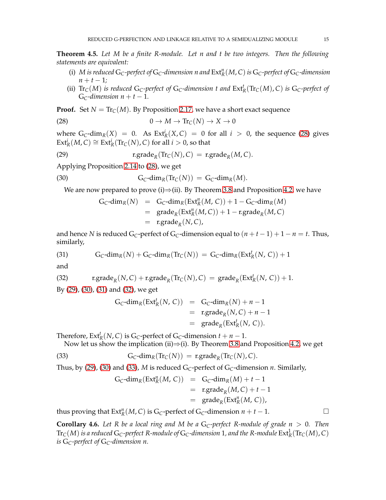<span id="page-14-0"></span>**Theorem 4.5.** *Let M be a finite R-module. Let n and t be two integers. Then the following statements are equivalent:*

- (i)  $M$  is reduced  $G_C$ -perfect of  $G_C$ -dimension  $n$  and  $Ext_R^n(M, C)$  is  $G_C$ -perfect of  $G_C$ -dimension  $n + t - 1$ ;
- (ii)  $\text{Tr}_C(M)$  *is reduced*  $G_C$ -perfect of  $G_C$ -dimension t and  $\text{Ext}^t_R(\text{Tr}_C(M), C)$  *is*  $G_C$ -perfect of G<sub>C</sub>-dimension  $n + t - 1$ .

**Proof.** Set  $N = \text{Tr}_C(M)$ . By Proposition [2.17,](#page-3-3) we have a short exact sequence

(28) 
$$
0 \to M \to \text{Tr}_\mathbb{C}(N) \to X \to 0
$$

where  $G_C$ -dim<sub>*R*</sub>(*X*) = 0. As  $Ext_R^i(X, C) = 0$  for all  $i > 0$ , the sequence [\(28\)](#page-14-1) gives  $\text{Ext}_{R}^{i}(M, C) \cong \text{Ext}_{R}^{i}( \text{Tr}_{C}(N), C)$  for all  $i > 0$ , so that

(29) 
$$
\operatorname{r.grade}_{R}(\operatorname{Tr}_{C}(N), C) = \operatorname{r.grade}_{R}(M, C).
$$

Applying Proposition [2.14](#page-3-1) to [\(28\)](#page-14-1), we get

(30) 
$$
G_C\text{-dim}_R(\text{Tr}_C(N)) = G_C\text{-dim}_R(M).
$$

We are now prepared to prove (i) $\Rightarrow$ (ii). By Theorem [3.8](#page-8-0) and Proposition [4.2,](#page-12-6) we have

<span id="page-14-3"></span><span id="page-14-2"></span><span id="page-14-1"></span>
$$
G_C\text{-dim}_R(N) = G_C\text{-dim}_R(\text{Ext}^n_R(M, C)) + 1 - G_C\text{-dim}_R(M)
$$
  
= grade<sub>R</sub>(\text{Ext}^n\_R(M, C)) + 1 - r.\text{grade}<sub>R</sub>(M, C)  
= r.\text{grade}<sub>R</sub>(N, C),

<span id="page-14-4"></span>and hence *N* is reduced G<sub>*C*</sub>-perfect of G<sub>*C*</sub>-dimension equal to  $(n + t - 1) + 1 - n = t$ . Thus, similarly,

(31) 
$$
G_C\text{-dim}_R(N) + G_C\text{-dim}_R(\text{Tr}_C(N)) = G_C\text{-dim}_R(\text{Ext}_R^t(N, C)) + 1
$$

<span id="page-14-5"></span>and

(32) 
$$
\text{r.grade}_{R}(N, C) + \text{r.grade}_{R}(\text{Tr}_{C}(N), C) = \text{grade}_{R}(\text{Ext}_{R}^{t}(N, C)) + 1.
$$

By [\(29\)](#page-14-2), [\(30\)](#page-14-3), [\(31\)](#page-14-4) and [\(32\)](#page-14-5), we get

$$
G_C\text{-dim}_R(\text{Ext}^t_R(N, C)) = G_C\text{-dim}_R(N) + n - 1
$$
  
= 
$$
\text{r.grade}_R(N, C) + n - 1
$$
  
= 
$$
\text{grade}_R(\text{Ext}^t_R(N, C)).
$$

Therefore,  $\text{Ext}^t_R(N, C)$  is  $G_C$ -perfect of  $G_C$ -dimension  $t + n - 1$ .

Now let us show the implication (ii) $\Rightarrow$ (i). By Theorem [3.8](#page-8-0) and Proposition [4.2,](#page-12-6) we get

(33) 
$$
G_C\text{-dim}_R(\text{Tr}_C(N)) = \text{r.grade}_R(\text{Tr}_C(N), C).
$$

Thus, by [\(29\)](#page-14-2), [\(30\)](#page-14-3) and [\(33\)](#page-14-6), *M* is reduced  $G_C$ -perfect of  $G_C$ -dimension *n*. Similarly,

<span id="page-14-6"></span>
$$
G_C\text{-dim}_R(\text{Ext}^n_R(M, C)) = G_C\text{-dim}_R(M) + t - 1
$$
  
= 
$$
\text{r.grade}_R(M, C) + t - 1
$$
  
= 
$$
\text{grade}_R(\text{Ext}^n_R(M, C)),
$$

thus proving that  $\text{Ext}^n_R(M, C)$  is  $G_C$ -perfect of  $G_C$ -dimension  $n + t - 1$ .

**Corollary 4.6.** Let R be a local ring and M be a  $G_C$ -perfect R-module of grade  $n > 0$ . Then  $\mathrm{Tr}_\mathsf{C}(M)$  is a reduced  $\mathrm{G}_\mathsf{C}$ -perfect R-module of  $\mathrm{G}_\mathsf{C}$ -dimension 1, and the R-module  $\mathrm{Ext}^1_\mathsf{R}(\mathrm{Tr}_\mathsf{C}(M)$ ,  $\mathrm{C})$ *is* G*C-perfect of* G*C-dimension n.*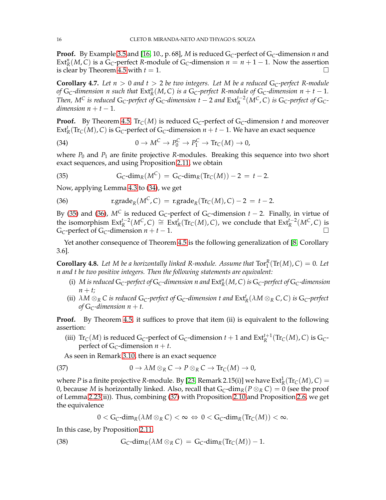**Proof.** By Example [3.5](#page-6-2) and [\[16,](#page-21-8) 10., p. 68], *M* is reduced G*C*-perfect of G*C*-dimension *n* and Ext<sup>*n*</sup>(*M*, *C*) is a  $\tilde{G}_C$ -perfect *R*-module of  $G_C$ -dimension  $n = n + 1 - 1$ . Now the assertion is clear by Theorem [4.5](#page-14-0) with  $t = 1$ .

**Corollary 4.7.** Let  $n > 0$  and  $t > 2$  be two integers. Let M be a reduced  $G_C$ -perfect R-module *of*  $G_C$ -dimension n such that  $Ext_R^n(M, C)$  is a  $G_C$ -perfect R-module of  $G_C$ -dimension  $n + t - 1$ . *Then, M<sup>C</sup> is reduced* G<sub>C</sub>-perfect of G<sub>C</sub>-dimension t − 2 and  $\text{Ext}_{R}^{t-2}(M^C, C)$  is G<sub>C</sub>-perfect of G<sub>C</sub>*dimension*  $n + t - 1$ .

<span id="page-15-1"></span>**Proof.** By Theorem [4.5,](#page-14-0)  $\text{Tr}_{C}(M)$  is reduced  $G_{C}$ -perfect of  $G_{C}$ -dimension *t* and moreover Ext<sup>*t*</sup><sub>*R*</sub>(Tr<sub>*C*</sub>(*M*), *C*) is G<sub>*C*</sub>-perfect of G<sub>*C*</sub>-dimension *n* + *t* − 1. We have an exact sequence

(34) 
$$
0 \to M^C \to P_0^C \to P_1^C \to \text{Tr}_C(M) \to 0,
$$

<span id="page-15-2"></span>where  $P_0$  and  $P_1$  are finite projective *R*-modules. Breaking this sequence into two short exact sequences, and using Proposition [2.11,](#page-2-4) we obtain

(35) 
$$
G_C \text{-dim}_R(M^C) = G_C \text{-dim}_R(\text{Tr}_C(M)) - 2 = t - 2.
$$

<span id="page-15-3"></span>Now, applying Lemma [4.3](#page-12-5) to [\(34\)](#page-15-1), we get

(36) 
$$
\operatorname{r.grade}_{R}(M^{C}, C) = \operatorname{r.grade}_{R}(\operatorname{Tr}_{C}(M), C) - 2 = t - 2.
$$

By [\(35\)](#page-15-2) and [\(36\)](#page-15-3),  $M^C$  is reduced G<sub>*C*</sub>-perfect of G<sub>*C*</sub>-dimension  $t - 2$ . Finally, in virtue of the isomorphism  $\text{Ext}^{t-2}_R(M^C, C) \cong \text{Ext}^t_R(\text{Tr}_C(M), C)$ , we conclude that  $\text{Ext}^{t-2}_R(M^C, C)$  is G<sub>C</sub>-perfect of G<sub>C</sub>-dimension  $n + t - 1$ .

Yet another consequence of Theorem [4.5](#page-14-0) is the following generalization of [\[8,](#page-21-2) Corollary 3.6].

<span id="page-15-0"></span>**Corollary 4.8.** Let M be a horizontally linked R-module. Assume that  $\text{Tor}_1^R(\text{Tr}(M), C) = 0$ . Let *n and t be two positive integers. Then the following statements are equivalent:*

- (i)  $M$  is reduced  $G_C$ -perfect of  $G_C$ -dimension  $n$  and  $Ext_R^n(M, C)$  is  $G_C$ -perfect of  $G_C$ -dimension  $n + t$ ;
- (ii)  $\,\lambda M\otimes_R C$  is reduced  $G_C$ -perfect of  $G_C$ -dimension  $t$  and  $\mathrm{Ext}^t_R(\lambda M\otimes_R C,C)$  is  $G_C$ -perfect *of*  $G_C$ -dimension  $n + t$ .

**Proof.** By Theorem [4.5,](#page-14-0) it suffices to prove that item (ii) is equivalent to the following assertion:

(iii)  $\text{Tr}_C(M)$  is reduced G<sub>*C*</sub>-perfect of G<sub>*C*</sub>-dimension  $t + 1$  and  $\text{Ext}^{t+1}_R(\text{Tr}_C(M), C)$  is G<sub>*C*</sub>perfect of  $G_C$ -dimension  $n + t$ .

As seen in Remark [3.10,](#page-10-1) there is an exact sequence

(37) 
$$
0 \to \lambda M \otimes_R C \to P \otimes_R C \to \text{Tr}_C(M) \to 0,
$$

where *P* is a finite projective *R*-module. By [\[23,](#page-21-5) Remark 2.15(i)] we have  $Ext^1_R(Tr_C(M), C) =$ 0, because *M* is horizontally linked. Also, recall that  $G_C$ -dim<sub>*R*</sub>( $P \otimes_R C$ ) = 0 (see the proof of Lemma [2.23\(](#page-4-2)ii)). Thus, combining [\(37\)](#page-15-4) with Proposition [2.10](#page-2-3) and Proposition [2.6,](#page-2-2) we get the equivalence

<span id="page-15-5"></span><span id="page-15-4"></span>
$$
0 < G_C \text{-dim}_R(\lambda M \otimes_R C) < \infty \Leftrightarrow 0 < G_C \text{-dim}_R(\text{Tr}_C(M)) < \infty.
$$

In this case, by Proposition [2.11,](#page-2-4)

(38) 
$$
G_C\text{-dim}_R(\lambda M \otimes_R C) = G_C\text{-dim}_R(\text{Tr}_C(M)) - 1.
$$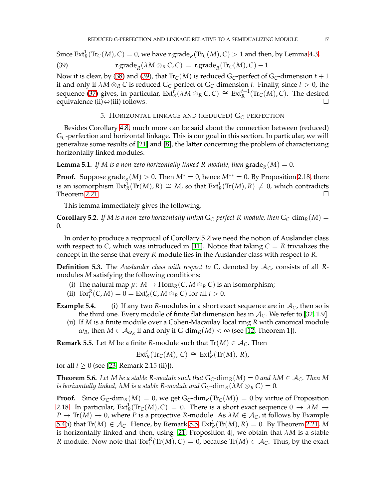Since  $Ext^1_R(Tr_C(M), C) = 0$ , we have  $r.\text{grade}_R(Tr_C(M), C) > 1$  and then, by Lemma [4.3,](#page-12-5)

(39) 
$$
\operatorname{r.grade}_{R}(\lambda M \otimes_{R} C, C) = \operatorname{r.grade}_{R}(\operatorname{Tr}_{C}(M), C) - 1.
$$

Now it is clear, by [\(38\)](#page-15-5) and [\(39\)](#page-16-2), that  $\text{Tr}_{\mathcal{C}}(M)$  is reduced  $G_{\mathcal{C}}$ -perfect of  $G_{\mathcal{C}}$ -dimension  $t+1$ if and only if  $\lambda M \otimes_R C$  is reduced G<sub>C</sub>-perfect of G<sub>C</sub>-dimension *t*. Finally, since  $t > 0$ , the sequence [\(37\)](#page-15-4) gives, in particular,  $Ext^f_R(\lambda M \otimes_R C, C) \cong Ext^{t+1}_R(Tr_C(M), C)$ . The desired equivalence (ii)⇔(iii) follows.

# <span id="page-16-2"></span>5. HORIZONTAL LINKAGE AND (REDUCED) G*C*-PERFECTION

<span id="page-16-0"></span>Besides Corollary [4.8,](#page-15-0) much more can be said about the connection between (reduced) G*C*-perfection and horizontal linkage. This is our goal in this section. In particular, we will generalize some results of [\[21\]](#page-21-7) and [\[8\]](#page-21-2), the latter concerning the problem of characterizing horizontally linked modules.

**Lemma 5.1.** If M is a non-zero horizontally linked R-module, then  $\mathrm{grade}_R(M) = 0$ .

**Proof.** Suppose grade<sub>R</sub> $(M) > 0$ . Then  $M^* = 0$ , hence  $M^{**} = 0$ . By Proposition [2.18,](#page-3-0) there is an isomorphism  $\text{Ext}^1_R(\text{Tr}(M), R) \cong M$ , so that  $\text{Ext}^1_R(\text{Tr}(M), R) \neq 0$ , which contradicts Theorem [2.21.](#page-4-3)  $\Box$ 

This lemma immediately gives the following.

<span id="page-16-3"></span>**Corollary 5.2.** If M is a non-zero horizontally linked G<sub>C</sub>-perfect R-module, then  $G_C$ -dim<sub>R</sub>(M) = 0*.*

In order to produce a reciprocal of Corollary [5.2](#page-16-3) we need the notion of Auslander class with respect to *C*, which was introduced in [\[11\]](#page-21-6). Notice that taking  $C = R$  trivializes the concept in the sense that every *R*-module lies in the Auslander class with respect to *R*.

**Definition 5.3.** The *Auslander class with respect to C*, denoted by A*C*, consists of all *R*modules *M* satisfying the following conditions:

- (i) The natural map  $\mu$ :  $M \to \text{Hom}_R(C, M \otimes_R C)$  is an isomorphism;
- (ii)  $\text{Tor}_{i}^{R}(C, M) = 0 = \text{Ext}_{R}^{i}(C, M \otimes_{R} C)$  for all  $i > 0$ .
- **Example 5.4.** (i) If any two *R*-modules in a short exact sequence are in  $A_C$ , then so is the third one. Every module of finite flat dimension lies in  $A_C$ . We refer to [\[32,](#page-21-19) 1.9].
	- (ii) If *M* is a finite module over a Cohen-Macaulay local ring *R* with canonical module  $\omega_R$ , then  $M \in \mathcal{A}_{\omega_R}$  if and only if  $G$ -dim $_R(M) < \infty$  (see [\[12,](#page-21-30) Theorem 1]).

<span id="page-16-4"></span>**Remark 5.5.** Let *M* be a finite *R*-module such that  $Tr(M) \in A_C$ . Then

$$
\text{Ext}^i_R(\text{Tr}_C(M), C) \cong \text{Ext}^i_R(\text{Tr}(M), R),
$$

for all  $i \ge 0$  (see [\[23,](#page-21-5) Remark 2.15 (ii)]).

<span id="page-16-1"></span>**Theorem 5.6.** Let M be a stable R-module such that  $G_C$ -dim<sub>*R*</sub>(*M*) = 0 and  $\lambda M \in A_C$ . Then M *is horizontally linked,*  $\lambda M$  *is a stable R-module and*  $G_C$ -dim<sub>*R*</sub>( $\lambda M \otimes_R C$ ) = 0.

**Proof.** Since  $G_C$ -dim<sub>*R*</sub>(*M*) = 0, we get  $G_C$ -dim<sub>*R*</sub>( $Tr_C(M)$ ) = 0 by virtue of Proposition [2.18.](#page-3-0) In particular,  $Ext^1_R(Tr_C(M), C) = 0$ . There is a short exact sequence  $0 \to \lambda M \to$  $P \to \text{Tr}(M) \to 0$ , where *P* is a projective *R*-module. As  $\lambda M \in \mathcal{A}_C$ , it follows by Example 5.4(i) that  $\text{Tr}(M) \in \mathcal{A}_{\mathcal{C}}$ . Hence, by Remark [5.5,](#page-16-4)  $\text{Ext}^1_R(\text{Tr}(M), R) = 0$ . By Theorem [2.21,](#page-4-3) M is horizontally linked and then, using [\[21,](#page-21-7) Proposition 4], we obtain that *λM* is a stable *R*-module. Now note that  $Tor_1^R(Tr(M), C) = 0$ , because  $Tr(M) \in \mathcal{A}_C$ . Thus, by the exact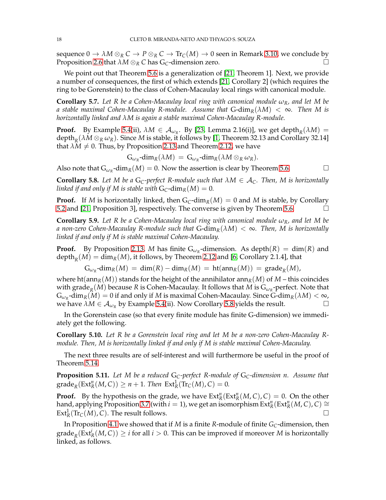sequence  $0 \to \lambda M \otimes_R C \to P \otimes_R C \to \text{Tr}_C(M) \to 0$  seen in Remark [3.10,](#page-10-1) we conclude by Proposition [2.6](#page-2-2) that  $\lambda M \otimes_R C$  has  $G_C$ -dimension zero.

We point out that Theorem [5.6](#page-16-1) is a generalization of [\[21,](#page-21-7) Theorem 1]. Next, we provide a number of consequences, the first of which extends [\[21,](#page-21-7) Corollary 2] (which requires the ring to be Gorenstein) to the class of Cohen-Macaulay local rings with canonical module.

**Corollary 5.7.** Let R be a Cohen-Macaulay local ring with canonical module  $\omega_R$ , and let M be *a* stable maximal Cohen-Macaulay R-module. Assume that  $G\text{-dim}_R(\lambda M) < \infty$ . Then M is *horizontally linked and λM is again a stable maximal Cohen-Macaulay R-module.*

**Proof.** By Example 5.4(ii),  $\lambda M \in \mathcal{A}_{\omega_R}$ . By [\[23,](#page-21-5) Lemma 2.16(i)], we get depth<sub>*R*</sub>( $\lambda M$ ) =  $\operatorname{depth}_R(\lambda M\otimes_R\omega_R)$ . Since  $M$  is stable, it follows by [\[1,](#page-21-32) Theorem 32.13 and Corollary 32.14] that  $\lambda M \neq 0$ . Thus, by Proposition [2.13](#page-3-4) and Theorem [2.12,](#page-3-2) we have

$$
\mathrm{G}_{\omega_R}\text{-dim}_R(\lambda M)\,=\,\mathrm{G}_{\omega_R}\text{-dim}_R(\lambda M\otimes_R\omega_R).
$$

Also note that  $G_{\omega_R}$ -dim<sub>*R*</sub>(*M*) = 0. Now the assertion is clear by Theorem [5.6.](#page-16-1)

<span id="page-17-0"></span>**Corollary 5.8.** Let M be a  $G_C$ -perfect R-module such that  $\lambda M \in A_C$ . Then, M is horizontally *linked if and only if* M *is stable with*  $G_C$ -dim<sub>*R*</sub>(*M*) = 0*.* 

**Proof.** If *M* is horizontally linked, then  $G_C$ -dim<sub>*R*</sub>(*M*) = 0 and *M* is stable, by Corollary [5.2](#page-16-3) and [\[21,](#page-21-7) Proposition 3], respectively. The converse is given by Theorem [5.6.](#page-16-1)

**Corollary 5.9.** Let R be a Cohen-Macaulay local ring with canonical module  $\omega_R$ , and let M be *a non-zero Cohen-Macaulay R-module such that* G-dim*R*(*λM*) < ∞*. Then, M is horizontally linked if and only if M is stable maximal Cohen-Macaulay.*

**Proof.** By Proposition [2.13,](#page-3-4) *M* has finite  $G_{\omega_R}$ -dimension. As depth $(R) = \dim(R)$  and  $\operatorname{depth}_R(M) = \dim_R(M)$ , it follows, by Theorem [2.12](#page-3-2) and [\[6,](#page-21-26) Corollary 2.1.4], that

 $G_{\omega_R}$ -dim<sub>*R*</sub>(*M*) = dim<sub>(</sub>*R*) – dim<sub>*R*</sub>(*M*) = ht(ann<sub>*R*</sub>(*M*)) = grade<sub>*R*</sub>(*M*),

where ht(ann<sub>*R*</sub>(*M*)) stands for the height of the annihilator ann<sub>*R*</sub>(*M*) of *M* – this coincides with grade<sub>*R*</sub>(*M*) because *R* is Cohen-Macaulay. It follows that *M* is  $G_{\omega_R}$ -perfect. Note that  $G_{\omega_R}$ -dim<sub>*R*</sub>( $M$ ) = 0 if and only if *M* is maximal Cohen-Macaulay. Since  $G$ -dim<sub>*R*</sub>( $\lambda$ *M*) <  $\infty$ , we have  $\lambda M \in A_{\omega_R}$  by Example 5.4(ii). Now Corollary [5.8](#page-17-0) yields the result.

In the Gorenstein case (so that every finite module has finite G-dimension) we immediately get the following.

**Corollary 5.10.** *Let R be a Gorenstein local ring and let M be a non-zero Cohen-Macaulay Rmodule. Then, M is horizontally linked if and only if M is stable maximal Cohen-Macaulay.*

The next three results are of self-interest and will furthermore be useful in the proof of Theorem [5.14.](#page-18-0)

<span id="page-17-1"></span>**Proposition 5.11.** *Let M be a reduced* G*C-perfect R-module of* G*C-dimension n. Assume that*  $\operatorname{grade}_R(\operatorname{Ext}_R^n(M, C)) \ge n + 1$ *. Then*  $\operatorname{Ext}_R^1(\operatorname{Tr}_C(M), C) = 0$ *.* 

**Proof.** By the hypothesis on the grade, we have  $Ext_R^n(Ext_R^n(M, C), C) = 0$ . On the other hand, applying Proposition [3.7](#page-8-4) (with  $i = 1$ ), we get an isomorphism  $Ext_R^n(Ext_R^n(M, C), C) \cong$  $\text{Ext}^1_R(\text{Tr}_C(M), C)$ . The result follows.

In Proposition [4.1](#page-11-3) we showed that if *M* is a finite *R*-module of finite *GC*-dimension, then  $\operatorname{grade}_R(\operatorname{Ext}_R^i(M,\mathcal{C}))\geq i$  for all  $i>0$ . This can be improved if moreover *M* is horizontally linked, as follows.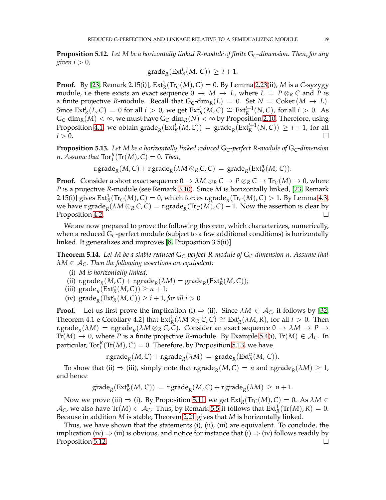<span id="page-18-2"></span>**Proposition 5.12.** *Let M be a horizontally linked R-module of finite* G*C-dimension. Then, for any given*  $i > 0$ *,* 

$$
\operatorname{grade}_R(\operatorname{Ext}^i_R(M,\,C))\,\geq\,i+1.
$$

**Proof.** By [\[23,](#page-21-5) Remark 2.15(i)],  $Ext^1_R(Tr_C(M), C) = 0$ . By Lemma [2.23\(](#page-4-2)ii), *M* is a *C*-syzygy module, i.e there exists an exact sequence  $0 \rightarrow M \rightarrow L$ , where  $L = P \otimes_R C$  and P is a finite projective *R*-module. Recall that  $G_C$ -dim<sub>*R*</sub>(*L*) = 0. Set *N* = Coker(*M*  $\rightarrow$  *L*). Since  $\text{Ext}^i_R(L, C) = 0$  for all  $i > 0$ , we get  $\text{Ext}^i_R(M, C) \cong \text{Ext}^{i+1}_R(N, C)$ , for all  $i > 0$ . As  $G_C$ -dim<sub>*R*</sub>(*M*) <  $\infty$ , we must have  $G_C$ -dim<sub>*R*</sub>(*N*) <  $\infty$  by Proposition [2.10.](#page-2-3) Therefore, using Proposition [4.1,](#page-11-3) we obtain  $\mathrm{grade}_R(\mathrm{Ext}^i_R(M, C)) = \mathrm{grade}_R(\mathrm{Ext}^{i+1}_R(N, C)) \geq i+1$ , for all  $i > 0$ .

<span id="page-18-1"></span>**Proposition 5.13.** *Let M be a horizontally linked reduced* G*C-perfect R-module of* G*C-dimension n*. Assume that  $\text{Tor}_1^R(\text{Tr}(M), C) = 0$ . Then,

$$
r.\mathsf{grade}_R(M,C) + r.\mathsf{grade}_R(\lambda M \otimes_R C,C) = \mathsf{grade}_R(\mathsf{Ext}^n_R(M,C)).
$$

**Proof.** Consider a short exact sequence  $0 \to \lambda M \otimes_R C \to P \otimes_R C \to \text{Tr}_C(M) \to 0$ , where *P* is a projective *R*-module (see Remark [3.10\)](#page-10-1). Since *M* is horizontally linked, [\[23,](#page-21-5) Remark 2.15(i)] gives  $Ext^1_R(Tr_C(M), C) = 0$ , which forces r.grade<sub>R</sub>(Tr<sub>C</sub>(*M*), *C*) > 1. By Lemma [4.3,](#page-12-5) we have r.grade $_R(\lambda M \otimes_R C, C) =$  r.grade $_R(\text{Tr}_C(M), C) - 1$ . Now the assertion is clear by Proposition [4.2.](#page-12-6)  $\Box$ 

We are now prepared to prove the following theorem, which characterizes, numerically, when a reduced G*C*-perfect module (subject to a few additional conditions) is horizontally linked. It generalizes and improves [\[8,](#page-21-2) Proposition 3.5(ii)].

<span id="page-18-0"></span>**Theorem 5.14.** *Let M be a stable reduced* G*C-perfect R-module of* G*C-dimension n. Assume that λM* ∈ A*C. Then the following assertions are equivalent:*

- (i) *M is horizontally linked;*
- (ii)  $\text{r.grade}_{R}(M, C) + \text{r.grade}_{R}(\lambda M) = \text{grade}_{R}(\text{Ext}_{R}^{n}(M, C));$
- (iii)  $\operatorname{grade}_R(\operatorname{Ext}^n_R(M,C)) \geq n+1;$
- (iv)  $\mathrm{grade}_R(\mathrm{Ext}^i_R(M,C)) \geq i+1$ , *for all i* > 0.

**Proof.** Let us first prove the implication (i)  $\Rightarrow$  (ii). Since  $\lambda M \in \mathcal{A}_C$ , it follows by [\[32,](#page-21-19) Theorem 4.1 e Corollary 4.2] that  $\text{Ext}^i_R(\lambda M \otimes_R C, C) \cong \text{Ext}^i_R(\lambda M, R)$ , for all  $i > 0$ . Then  $\text{r.grade}_R(\lambda M) = \text{r.grade}_R(\lambda M \otimes_R C, C)$ . Consider an exact sequence  $0 \to \lambda M \to P \to P$  $Tr(M) \rightarrow 0$ , where *P* is a finite projective *R*-module. By Example 5.4(i),  $Tr(M) \in \mathcal{A}_C$ . In particular,  $\text{Tor}_{1}^{R}(\text{Tr}(M), C) = 0$ . Therefore, by Proposition [5.13,](#page-18-1) we have

$$
\text{r.grade}_{R}(M,C) + \text{r.grade}_{R}(\lambda M) \ = \ \text{grade}_{R}(\text{Ext}^{n}_{R}(M,\,C)).
$$

To show that (ii)  $\Rightarrow$  (iii), simply note that r.grade<sub>*R*</sub>(*M*, *C*) = *n* and r.grade<sub>*R*</sub>( $\lambda$ *M*)  $\geq$  1, and hence

$$
\operatorname{grade}_R(\operatorname{Ext}^n_R(M,\,C)) = \operatorname{r.\!grade}_R(M,C) + \operatorname{r.\!grade}_R(\lambda M) \ge n+1.
$$

Now we prove (iii)  $\Rightarrow$  (i). By Proposition [5.11,](#page-17-1) we get  $\mathrm{Ext}^1_R(\mathrm{Tr}_\mathbb{C}(M),\mathbb{C})=0$ . As  $\lambda M\in$  $\mathcal{A}_C$ , we also have  $\text{Tr}(M) \in \mathcal{A}_C$ . Thus, by Remark [5.5](#page-16-4) it follows that  $\text{Ext}^1_R(\text{Tr}(M), R) = 0$ . Because in addition *M* is stable, Theorem [2.21](#page-4-3) gives that *M* is horizontally linked.

Thus, we have shown that the statements (i), (ii), (iii) are equivalent. To conclude, the implication (iv)  $\Rightarrow$  (iii) is obvious, and notice for instance that (i)  $\Rightarrow$  (iv) follows readily by Proposition [5.12.](#page-18-2)  $\Box$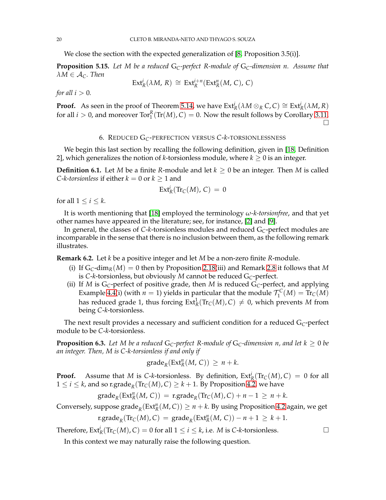We close the section with the expected generalization of [\[8,](#page-21-2) Proposition 3.5(i)].

**Proposition 5.15.** *Let M be a reduced* G*C-perfect R-module of* G*C-dimension n. Assume that*  $\lambda M \in \mathcal{A}_{C}$ *. Then* 

$$
\text{Ext}^i_R(\lambda M, R) \cong \text{Ext}^{i+n}_R(\text{Ext}^n_R(M, C), C)
$$

*for all*  $i > 0$ *.* 

**Proof.** As seen in the proof of Theorem [5.14,](#page-18-0) we have  $Ext_R^i(\lambda M \otimes_R C, C) \cong Ext_R^i(\lambda M, R)$ for all  $i > 0$ , and moreover  $\text{Tor}_{1}^{R}(\text{Tr}(M), C) = 0$ . Now the result follows by Corollary [3.11.](#page-10-5) □

### 6. REDUCED G*C*-PERFECTION VERSUS *C*-*k*-TORSIONLESSNESS

<span id="page-19-0"></span>We begin this last section by recalling the following definition, given in [\[18,](#page-21-33) Definition 2], which generalizes the notion of *k*-torsionless module, where  $k \geq 0$  is an integer.

**Definition 6.1.** Let *M* be a finite *R*-module and let  $k > 0$  be an integer. Then *M* is called *C*-*k*-*torsionless* if either  $k = 0$  or  $k \ge 1$  and

$$
\mathrm{Ext}^i_R(\mathrm{Tr}_C(M), C) = 0
$$

for all  $1 \leq i \leq k$ .

It is worth mentioning that [\[18\]](#page-21-33) employed the terminology *ω-k-torsionfree*, and that yet other names have appeared in the literature; see, for instance, [\[2\]](#page-21-21) and [\[9\]](#page-21-3).

In general, the classes of *C*-*k*-torsionless modules and reduced G*C*-perfect modules are incomparable in the sense that there is no inclusion between them, as the following remark illustrates.

<span id="page-19-1"></span>**Remark 6.2.** Let *k* be a positive integer and let *M* be a non-zero finite *R*-module.

- (i) If  $G_C$ -dim<sub>*R*</sub>(*M*) = 0 then by Proposition [2.18\(](#page-3-0)iii) and Remark [2.8](#page-2-1) it follows that *M* is *C*-*k*-torsionless, but obviously *M* cannot be reduced G*C*-perfect.
- (ii) If *M* is  $G_C$ -perfect of positive grade, then *M* is reduced  $G_C$ -perfect, and applying Example [4.4\(](#page-12-0)i) (with  $n = 1$ ) yields in particular that the module  $\mathcal{T}_1^C(M) = \text{Tr}_C(M)$ has reduced grade 1, thus forcing  $\text{Ext}^1_R(\text{Tr}_C(M), C) \neq 0$ , which prevents M from being *C*-*k*-torsionless.

The next result provides a necessary and sufficient condition for a reduced G*C*-perfect module to be *C*-*k*-torsionless.

<span id="page-19-2"></span>**Proposition 6.3.** Let M be a reduced  $G_C$ -perfect R-module of  $G_C$ -dimension n, and let  $k \geq 0$  be *an integer. Then, M is C-k-torsionless if and only if*

$$
\operatorname{grade}_R(\operatorname{Ext}^n_R(M,\,C))\,\geq\,n+k.
$$

**Proof.** Assume that *M* is *C*-*k*-torsionless. By definition,  $Ext^i_R(\text{Tr}_C(M), C) = 0$  for all  $1 \leq i \leq k$ , and so r.grade<sub>R</sub>(Tr<sub>C</sub>(*M*), *C*)  $\geq k+1$ . By Proposition [4.2,](#page-12-6) we have

$$
\operatorname{grade}_R(\operatorname{Ext}^n_R(M,\,C)) = \operatorname{r.grade}_R(\operatorname{Tr}_C(M),C) + n - 1 \ge n + k.
$$

Conversely, suppose  $\mathrm{grade}_R(\mathrm{Ext}^n_R(M,C))\geq n+k$ . By using Proposition [4.2](#page-12-6) again, we get

$$
\text{r.grade}_{R}(\text{Tr}_{C}(M), C) = \text{grade}_{R}(\text{Ext}_{R}^{n}(M, C)) - n + 1 \geq k + 1.
$$

Therefore,  $\text{Ext}^i_R(\text{Tr}_C(M), C) = 0$  for all  $1 \le i \le k$ , i.e. *M* is *C*-*k*-torsionless.

In this context we may naturally raise the following question.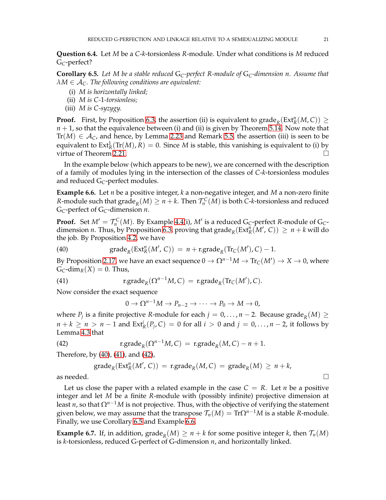**Question 6.4.** Let *M* be a *C*-*k*-torsionless *R*-module. Under what conditions is *M* reduced G*C*-perfect?

<span id="page-20-4"></span>**Corollary 6.5.** *Let M be a stable reduced* G*C-perfect R-module of* G*C-dimension n. Assume that λM* ∈ A*C. The following conditions are equivalent:*

- (i) *M is horizontally linked;*
- (ii) *M is C-*1*-torsionless;*
- (iii) *M is C-syzygy.*

**Proof.** First, by Proposition [6.3,](#page-19-2) the assertion (ii) is equivalent to grade<sub>*R*</sub>(Ext<sup>*n*</sup><sub>*R*</sub>(*M*, *C*))  $\ge$ *n* + 1, so that the equivalence between (i) and (ii) is given by Theorem [5.14.](#page-18-0) Now note that Tr( $M$ )  $\in A_C$ , and hence, by Lemma [2.23](#page-4-2) and Remark [5.5,](#page-16-4) the assertion (iii) is seen to be equivalent to  $\text{Ext}^1_R(\text{Tr}(M), R) = 0$ . Since *M* is stable, this vanishing is equivalent to (i) by virtue of Theorem [2.21.](#page-4-3)

In the example below (which appears to be new), we are concerned with the description of a family of modules lying in the intersection of the classes of *C*-*k*-torsionless modules and reduced  $G_C$ -perfect modules.

<span id="page-20-0"></span>**Example 6.6.** Let *n* be a positive integer, *k* a non-negative integer, and *M* a non-zero finite *R*-module such that  $\text{grade}_R(M) \geq n+k$ . Then  $\mathcal{T}_n^C(M)$  is both *C-k*-torsionless and reduced G*C*-perfect of G*C*-dimension *n*.

**Proof.** Set  $M' = \mathcal{T}_n^C(M)$ . By Example [4.4\(](#page-12-0)i),  $M'$  is a reduced G<sub>C</sub>-perfect *R*-module of G<sub>C</sub>dimension *n*. Thus, by Proposition [6.3,](#page-19-2) proving that  $\mathrm{grade}_R(\mathrm{Ext}_R^n(M', C)) \geq n + k$  will do the job. By Proposition [4.2,](#page-12-6) we have

(40) 
$$
\operatorname{grade}_R(\operatorname{Ext}^n_R(M', C)) = n + \operatorname{r.grade}_R(\operatorname{Tr}_C(M'), C) - 1.
$$

By Proposition [2.17,](#page-3-3) we have an exact sequence  $0\to \Omega^{n-1}M\to \text{Tr}_\mathcal{C}(M')\to X\to 0$ , where  $G_C$ -dim<sub>*R*</sub>(*X*) = 0. Thus,

(41) 
$$
\operatorname{r.grade}_{R}(\Omega^{n-1}M,C) = \operatorname{r.grade}_{R}(\operatorname{Tr}_{C}(M'),C).
$$

Now consider the exact sequence

<span id="page-20-3"></span><span id="page-20-2"></span><span id="page-20-1"></span>
$$
0 \to \Omega^{n-1}M \to P_{n-2} \to \cdots \to P_0 \to M \to 0,
$$

where  $P_j$  is a finite projective *R*-module for each  $j = 0, \ldots, n-2$ . Because grade $_R(M) \geq 0$ *n* + *k* ≥ *n* > *n* − 1 and Ext<sup>*i*</sup><sub>*R*</sub>(*P*<sub>*j*</sub>, *C*) = 0 for all *i* > 0 and *j* = 0, . . . , *n* − 2, it follows by Lemma [4.3](#page-12-5) that

(42) 
$$
\operatorname{r.grade}_{R}(\Omega^{n-1}M, C) = \operatorname{r.grade}_{R}(M, C) - n + 1.
$$

Therefore, by [\(40\)](#page-20-1), [\(41\)](#page-20-2), and [\(42\)](#page-20-3),

$$
\operatorname{grade}_R(\operatorname{Ext}^n_R(M',C)) = \operatorname{r.grade}_R(M,C) = \operatorname{grade}_R(M) \ge n+k,
$$

as needed.  $\Box$ 

Let us close the paper with a related example in the case  $C = R$ . Let *n* be a positive integer and let *M* be a finite *R*-module with (possibly infinite) projective dimension at least *n*, so that  $\Omega^{n-1}M$  is not projective. Thus, with the objective of verifying the statement given below, we may assume that the transpose  $\mathcal{T}_n(M) = \text{Tr}\Omega^{n-1}M$  is a stable *R*-module. Finally, we use Corollary [6.5](#page-20-4) and Example [6.6.](#page-20-0)

**Example 6.7.** If, in addition,  $\text{grade}_R(M) \ge n + k$  for some positive integer *k*, then  $\mathcal{T}_n(M)$ is *k*-torsionless, reduced G-perfect of G-dimension *n*, and horizontally linked.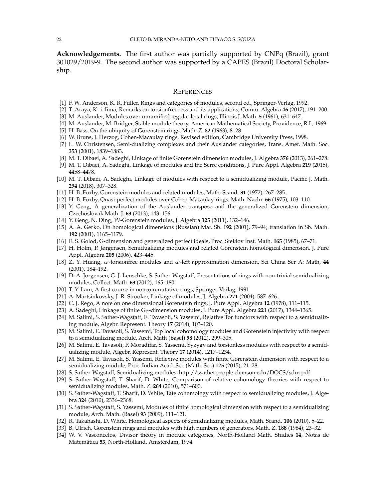**Acknowledgements.** The first author was partially supported by CNPq (Brazil), grant 301029/2019-9. The second author was supported by a CAPES (Brazil) Doctoral Scholarship.

### **REFERENCES**

- <span id="page-21-32"></span><span id="page-21-21"></span>[1] F. W. Anderson, K. R. Fuller, Rings and categories of modules, second ed., Springer-Verlag, 1992.
- <span id="page-21-31"></span>[2] T. Araya, K.-i. Iima, Remarks on torsionfreeness and its applications, Comm. Algebra **46** (2017), 191–200.
- <span id="page-21-0"></span>[3] M. Auslander, Modules over unramified regular local rings, Illinois J. Math. **5** (1961), 631–647.
- <span id="page-21-1"></span>[4] M. Auslander, M. Bridger, Stable module theory. American Mathematical Society, Providence, R.I., 1969.
- <span id="page-21-26"></span>[5] H. Bass, On the ubiquity of Gorenstein rings, Math. Z. **82** (1963), 8–28.
- <span id="page-21-10"></span>[6] W. Bruns, J. Herzog, Cohen-Macaulay rings. Revised edition, Cambridge University Press, 1998.
- <span id="page-21-2"></span>[7] L. W. Christensen, Semi-dualizing complexes and their Auslander categories, Trans. Amer. Math. Soc. **353** (2001), 1839–1883.
- <span id="page-21-3"></span>[8] M. T. Dibaei, A. Sadeghi, Linkage of finite Gorenstein dimension modules, J. Algebra **376** (2013), 261–278.
- <span id="page-21-4"></span>[9] M. T. Dibaei, A. Sadeghi, Linkage of modules and the Serre conditions, J. Pure Appl. Algebra **219** (2015), 4458–4478.
- [10] M. T. Dibaei, A. Sadeghi, Linkage of modules with respect to a semidualizing module, Pacific J. Math. **294** (2018), 307–328.
- <span id="page-21-30"></span><span id="page-21-6"></span>[11] H. B. Foxby, Gorenstein modules and related modules, Math. Scand. **31** (1972), 267–285.
- <span id="page-21-24"></span>[12] H. B. Foxby, Quasi-perfect modules over Cohen-Macaulay rings, Math. Nachr. **66** (1975), 103–110.
- [13] Y. Geng, A generalization of the Auslander transpose and the generalized Gorenstein dimension, Czechoslovak Math. J. **63** (2013), 143–156.
- <span id="page-21-27"></span><span id="page-21-25"></span>[14] Y. Geng, N. Ding, W-Gorenstein modules, J. Algebra **325** (2011), 132–146.
- [15] A. A. Gerko, On homological dimensions (Russian) Mat. Sb. **192** (2001), 79–94; translation in Sb. Math. **192** (2001), 1165–1179.
- <span id="page-21-11"></span><span id="page-21-8"></span>[16] E. S. Golod, G-dimension and generalized perfect ideals, Proc. Steklov Inst. Math. **165** (1985), 67–71.
- [17] H. Holm, P. Jørgensen, Semidualizing modules and related Gorenstein homological dimension, J. Pure Appl. Algebra **205** (2006), 423–445.
- <span id="page-21-33"></span>[18] Z. Y. Huang, *ω*-torsionfree modules and *ω*-left approximation dimension, Sci China Ser A: Math, **44** (2001), 184–192.
- <span id="page-21-22"></span>[19] D. A. Jorgensen, G. J. Leuschke, S. Sather-Wagstaff, Presentations of rings with non-trivial semidualizing modules, Collect. Math. **63** (2012), 165–180.
- <span id="page-21-20"></span><span id="page-21-7"></span>[20] T. Y. Lam, A first course in noncommutative rings, Springer-Verlag, 1991.
- <span id="page-21-28"></span>[21] A. Martsinkovsky, J. R. Strooker, Linkage of modules, J. Algebra **271** (2004), 587–626.
- <span id="page-21-5"></span>[22] C. J. Rego, A note on one dimensional Gorenstein rings, J. Pure Appl. Algebra **12** (1978), 111–115.
- <span id="page-21-12"></span>[23] A. Sadeghi, Linkage of finite G*C*-dimension modules, J. Pure Appl. Algebra **221** (2017), 1344–1365.
- [24] M. Salimi, S. Sather-Wagstaff, E. Tavasoli, S. Yassemi, Relative Tor functors with respect to a semidualizing module, Algebr. Represent. Theory **17** (2014), 103–120.
- <span id="page-21-13"></span>[25] M. Salimi, E. Tavasoli, S. Yassemi, Top local cohomology modules and Gorenstein injectivity with respect to a semidualizing module, Arch. Math (Basel) **98** (2012), 299–305.
- <span id="page-21-14"></span>[26] M. Salimi, E. Tavasoli, P. Moradifar, S. Yassemi, Syzygy and torsionless modules with respect to a semidualizing module, Algebr. Represent. Theory **17** (2014), 1217–1234.
- <span id="page-21-15"></span>[27] M. Salimi, E. Tavasoli, S. Yassemi, Reflexive modules with finite Gorenstein dimension with respect to a semidualizing module, Proc. Indian Acad. Sci. (Math. Sci.) **125** (2015), 21–28.
- <span id="page-21-23"></span><span id="page-21-16"></span>[28] S. Sather-Wagstaff, Semidualizing modules. http://ssather.people.clemson.edu/DOCS/sdm.pdf
- [29] S. Sather-Wagstaff, T. Sharif, D. White, Comparison of relative cohomology theories with respect to semidualizing modules, Math. Z. **264** (2010), 571–600.
- <span id="page-21-17"></span>[30] S. Sather-Wagstaff, T. Sharif, D. White, Tate cohomology with respect to semidualizing modules, J. Algebra **324** (2010), 2336–2368.
- <span id="page-21-18"></span>[31] S. Sather-Wagstaff, S. Yassemi, Modules of finite homological dimension with respect to a semidualizing module, Arch. Math. (Basel) **93** (2009), 111–121.
- <span id="page-21-29"></span><span id="page-21-19"></span>[32] R. Takahashi, D. White, Homological aspects of semidualizing modules, Math. Scand. **106** (2010), 5–22.
- <span id="page-21-9"></span>[33] B. Ulrich, Gorenstein rings and modules with high numbers of generators, Math. Z. **188** (1984), 23–32.
- [34] W. V. Vasconcelos, Divisor theory in module categories, North-Holland Math. Studies **14**, Notas de Matem´atica **53**, North-Holland, Amsterdam, 1974.